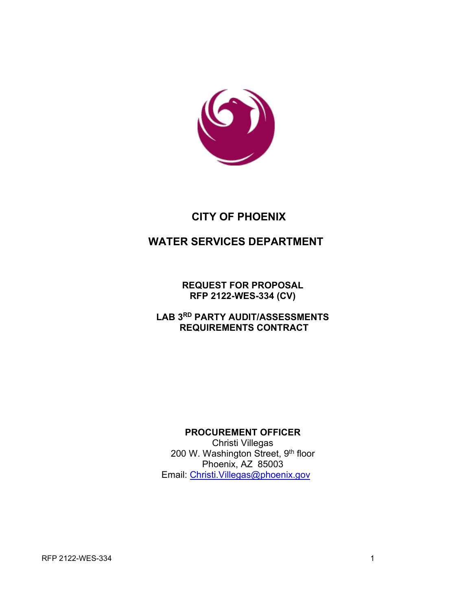

# **CITY OF PHOENIX**

# **WATER SERVICES DEPARTMENT**

**REQUEST FOR PROPOSAL RFP 2122-WES-334 (CV)**

**LAB 3RD PARTY AUDIT/ASSESSMENTS REQUIREMENTS CONTRACT**

### **PROCUREMENT OFFICER**

Christi Villegas 200 W. Washington Street, 9th floor Phoenix, AZ 85003 Email: [Christi.Villegas@phoenix.gov](mailto:Christi.Villegas@phoenix.gov)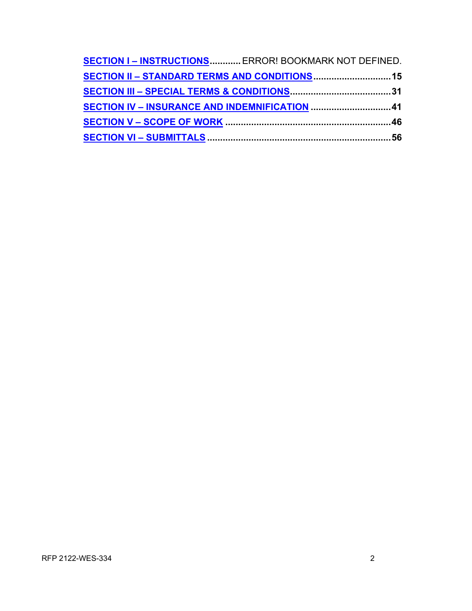| <b>SECTION I-INSTRUCTIONS ERROR! BOOKMARK NOT DEFINED.</b> |  |
|------------------------------------------------------------|--|
|                                                            |  |
|                                                            |  |
| SECTION IV - INSURANCE AND INDEMNIFICATION 41              |  |
|                                                            |  |
|                                                            |  |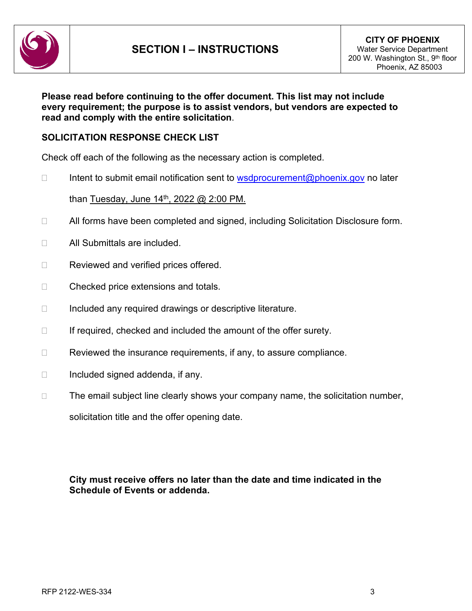

#### **Please read before continuing to the offer document. This list may not include every requirement; the purpose is to assist vendors, but vendors are expected to read and comply with the entire solicitation**.

### **SOLICITATION RESPONSE CHECK LIST**

Check off each of the following as the necessary action is completed.

 $\Box$  Intent to submit email notification sent to [wsdprocurement@phoenix.gov](mailto:wsdprocurement@phoenix.gov) no later

than Tuesday, June 14<sup>th</sup>, 2022 @ 2:00 PM.

- □ All forms have been completed and signed, including Solicitation Disclosure form.
- □ All Submittals are included.
- □ Reviewed and verified prices offered.
- □ Checked price extensions and totals.
- $\Box$  Included any required drawings or descriptive literature.
- $\Box$  If required, checked and included the amount of the offer surety.
- $\Box$  Reviewed the insurance requirements, if any, to assure compliance.
- $\Box$  Included signed addenda, if any.
- $\Box$  The email subject line clearly shows your company name, the solicitation number,

solicitation title and the offer opening date.

### **City must receive offers no later than the date and time indicated in the Schedule of Events or addenda.**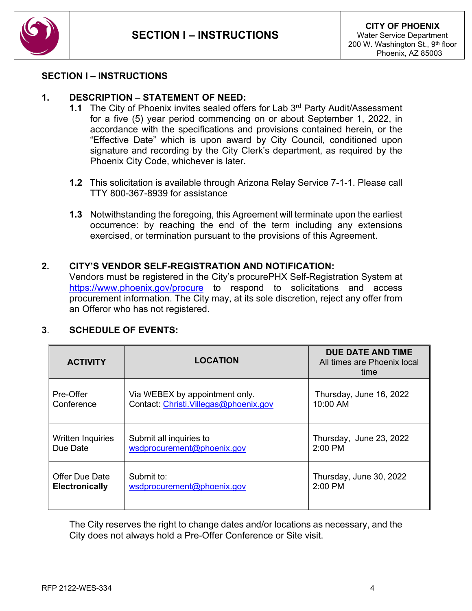

#### **SECTION I – INSTRUCTIONS**

 $\overline{\phantom{a}}$ 

### **1. DESCRIPTION – STATEMENT OF NEED:**

- **1.1** The City of Phoenix invites sealed offers for Lab 3<sup>rd</sup> Party Audit/Assessment for a five (5) year period commencing on or about September 1, 2022, in accordance with the specifications and provisions contained herein, or the "Effective Date" which is upon award by City Council, conditioned upon signature and recording by the City Clerk's department, as required by the Phoenix City Code, whichever is later.
- **1.2** This solicitation is available through Arizona Relay Service 7-1-1. Please call TTY 800-367-8939 for assistance
- **1.3** Notwithstanding the foregoing, this Agreement will terminate upon the earliest occurrence: by reaching the end of the term including any extensions exercised, or termination pursuant to the provisions of this Agreement.

#### **2. CITY'S VENDOR SELF-REGISTRATION AND NOTIFICATION:**

Vendors must be registered in the City's procurePHX Self-Registration System at <https://www.phoenix.gov/procure> to respond to solicitations and access procurement information. The City may, at its sole discretion, reject any offer from an Offeror who has not registered.

#### **3**. **SCHEDULE OF EVENTS:**

| <b>ACTIVITY</b>       | <b>LOCATION</b>                        | <b>DUE DATE AND TIME</b><br>All times are Phoenix local<br>time |
|-----------------------|----------------------------------------|-----------------------------------------------------------------|
| Pre-Offer             | Via WEBEX by appointment only.         | Thursday, June 16, 2022                                         |
| Conference            | Contact: Christi. Villegas@phoenix.gov | 10:00 AM                                                        |
| Written Inquiries     | Submit all inquiries to                | Thursday, June 23, 2022                                         |
| Due Date              | wsdprocurement@phoenix.gov             | 2:00 PM                                                         |
| Offer Due Date        | Submit to:                             | Thursday, June 30, 2022                                         |
| <b>Electronically</b> | wsdprocurement@phoenix.gov             | 2:00 PM                                                         |

The City reserves the right to change dates and/or locations as necessary, and the City does not always hold a Pre-Offer Conference or Site visit.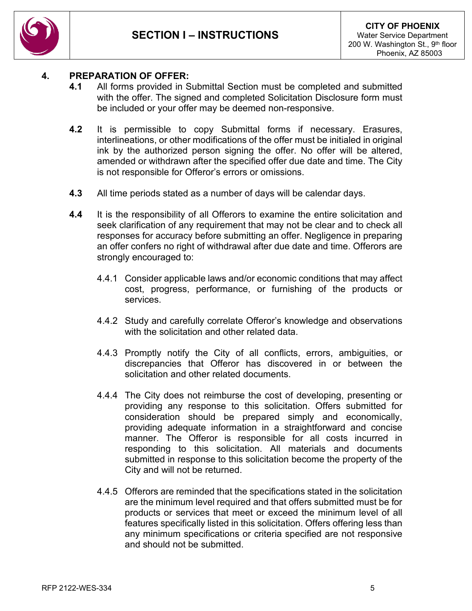

### **4. PREPARATION OF OFFER:**

- **4.1** All forms provided in Submittal Section must be completed and submitted with the offer. The signed and completed Solicitation Disclosure form must be included or your offer may be deemed non-responsive.
- **4.2** It is permissible to copy Submittal forms if necessary. Erasures, interlineations, or other modifications of the offer must be initialed in original ink by the authorized person signing the offer. No offer will be altered, amended or withdrawn after the specified offer due date and time. The City is not responsible for Offeror's errors or omissions.
- **4.3** All time periods stated as a number of days will be calendar days.
- **4.4** It is the responsibility of all Offerors to examine the entire solicitation and seek clarification of any requirement that may not be clear and to check all responses for accuracy before submitting an offer. Negligence in preparing an offer confers no right of withdrawal after due date and time. Offerors are strongly encouraged to:
	- 4.4.1 Consider applicable laws and/or economic conditions that may affect cost, progress, performance, or furnishing of the products or services.
	- 4.4.2 Study and carefully correlate Offeror's knowledge and observations with the solicitation and other related data.
	- 4.4.3 Promptly notify the City of all conflicts, errors, ambiguities, or discrepancies that Offeror has discovered in or between the solicitation and other related documents.
	- 4.4.4 The City does not reimburse the cost of developing, presenting or providing any response to this solicitation. Offers submitted for consideration should be prepared simply and economically, providing adequate information in a straightforward and concise manner. The Offeror is responsible for all costs incurred in responding to this solicitation. All materials and documents submitted in response to this solicitation become the property of the City and will not be returned.
	- 4.4.5 Offerors are reminded that the specifications stated in the solicitation are the minimum level required and that offers submitted must be for products or services that meet or exceed the minimum level of all features specifically listed in this solicitation. Offers offering less than any minimum specifications or criteria specified are not responsive and should not be submitted.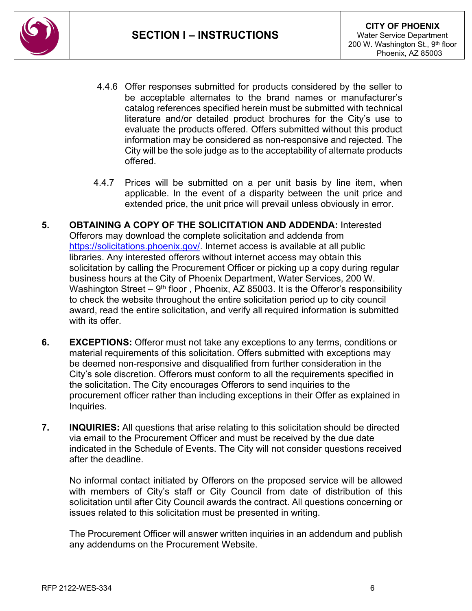

- 4.4.6 Offer responses submitted for products considered by the seller to be acceptable alternates to the brand names or manufacturer's catalog references specified herein must be submitted with technical literature and/or detailed product brochures for the City's use to evaluate the products offered. Offers submitted without this product information may be considered as non-responsive and rejected. The City will be the sole judge as to the acceptability of alternate products offered.
- 4.4.7 Prices will be submitted on a per unit basis by line item, when applicable. In the event of a disparity between the unit price and extended price, the unit price will prevail unless obviously in error.
- **5. OBTAINING A COPY OF THE SOLICITATION AND ADDENDA:** Interested Offerors may download the complete solicitation and addenda from [https://solicitations.phoenix.gov/.](https://solicitations.phoenix.gov/) Internet access is available at all public libraries. Any interested offerors without internet access may obtain this solicitation by calling the Procurement Officer or picking up a copy during regular business hours at the City of Phoenix Department, Water Services, 200 W. Washington Street –  $9<sup>th</sup>$  floor, Phoenix, AZ 85003. It is the Offeror's responsibility to check the website throughout the entire solicitation period up to city council award, read the entire solicitation, and verify all required information is submitted with its offer
- **6. EXCEPTIONS:** Offeror must not take any exceptions to any terms, conditions or material requirements of this solicitation. Offers submitted with exceptions may be deemed non-responsive and disqualified from further consideration in the City's sole discretion. Offerors must conform to all the requirements specified in the solicitation. The City encourages Offerors to send inquiries to the procurement officer rather than including exceptions in their Offer as explained in Inquiries.
- **7. INQUIRIES:** All questions that arise relating to this solicitation should be directed via email to the Procurement Officer and must be received by the due date indicated in the Schedule of Events. The City will not consider questions received after the deadline.

No informal contact initiated by Offerors on the proposed service will be allowed with members of City's staff or City Council from date of distribution of this solicitation until after City Council awards the contract. All questions concerning or issues related to this solicitation must be presented in writing.

The Procurement Officer will answer written inquiries in an addendum and publish any addendums on the Procurement Website.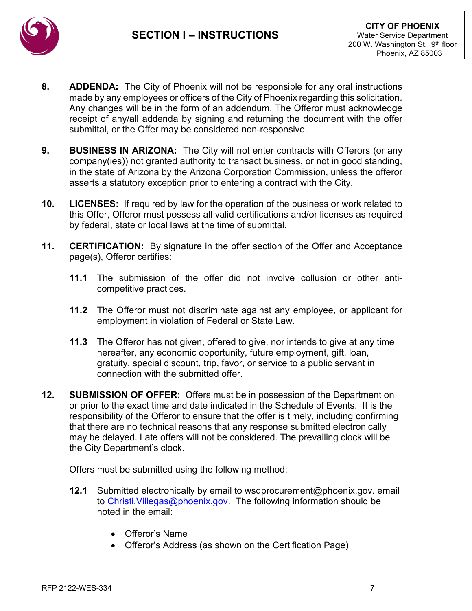

- **8. ADDENDA:** The City of Phoenix will not be responsible for any oral instructions made by any employees or officers of the City of Phoenix regarding this solicitation. Any changes will be in the form of an addendum. The Offeror must acknowledge receipt of any/all addenda by signing and returning the document with the offer submittal, or the Offer may be considered non-responsive.
- **9. BUSINESS IN ARIZONA:** The City will not enter contracts with Offerors (or any company(ies)) not granted authority to transact business, or not in good standing, in the state of Arizona by the Arizona Corporation Commission, unless the offeror asserts a statutory exception prior to entering a contract with the City.
- **10. LICENSES:** If required by law for the operation of the business or work related to this Offer, Offeror must possess all valid certifications and/or licenses as required by federal, state or local laws at the time of submittal.
- **11. CERTIFICATION:** By signature in the offer section of the Offer and Acceptance page(s), Offeror certifies:
	- **11.1** The submission of the offer did not involve collusion or other anticompetitive practices.
	- **11.2** The Offeror must not discriminate against any employee, or applicant for employment in violation of Federal or State Law.
	- **11.3** The Offeror has not given, offered to give, nor intends to give at any time hereafter, any economic opportunity, future employment, gift, loan, gratuity, special discount, trip, favor, or service to a public servant in connection with the submitted offer.
- **12. SUBMISSION OF OFFER:** Offers must be in possession of the Department on or prior to the exact time and date indicated in the Schedule of Events. It is the responsibility of the Offeror to ensure that the offer is timely, including confirming that there are no technical reasons that any response submitted electronically may be delayed. Late offers will not be considered. The prevailing clock will be the City Department's clock.

Offers must be submitted using the following method:

- **12.1** Submitted electronically by email to wsdprocurement@phoenix.gov. email to [Christi.Villegas@phoenix.gov.](mailto:Christi.Villegas@phoenix.gov) The following information should be noted in the email:
	- Offeror's Name
	- Offeror's Address (as shown on the Certification Page)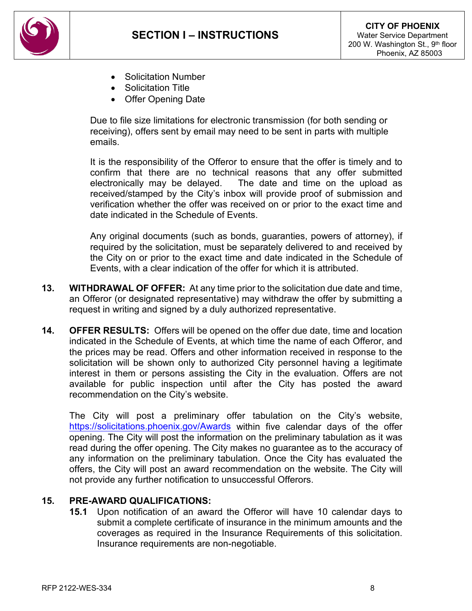

- Solicitation Number
- Solicitation Title
- Offer Opening Date

Due to file size limitations for electronic transmission (for both sending or receiving), offers sent by email may need to be sent in parts with multiple emails.

It is the responsibility of the Offeror to ensure that the offer is timely and to confirm that there are no technical reasons that any offer submitted electronically may be delayed. The date and time on the upload as received/stamped by the City's inbox will provide proof of submission and verification whether the offer was received on or prior to the exact time and date indicated in the Schedule of Events.

Any original documents (such as bonds, guaranties, powers of attorney), if required by the solicitation, must be separately delivered to and received by the City on or prior to the exact time and date indicated in the Schedule of Events, with a clear indication of the offer for which it is attributed.

- **13. WITHDRAWAL OF OFFER:** At any time prior to the solicitation due date and time, an Offeror (or designated representative) may withdraw the offer by submitting a request in writing and signed by a duly authorized representative.
- **14. OFFER RESULTS:** Offers will be opened on the offer due date, time and location indicated in the Schedule of Events, at which time the name of each Offeror, and the prices may be read. Offers and other information received in response to the solicitation will be shown only to authorized City personnel having a legitimate interest in them or persons assisting the City in the evaluation. Offers are not available for public inspection until after the City has posted the award recommendation on the City's website.

The City will post a preliminary offer tabulation on the City's website, <https://solicitations.phoenix.gov/Awards> within five calendar days of the offer opening. The City will post the information on the preliminary tabulation as it was read during the offer opening. The City makes no guarantee as to the accuracy of any information on the preliminary tabulation. Once the City has evaluated the offers, the City will post an award recommendation on the website. The City will not provide any further notification to unsuccessful Offerors.

#### **15. PRE-AWARD QUALIFICATIONS:**

**15.1** Upon notification of an award the Offeror will have 10 calendar days to submit a complete certificate of insurance in the minimum amounts and the coverages as required in the Insurance Requirements of this solicitation. Insurance requirements are non-negotiable.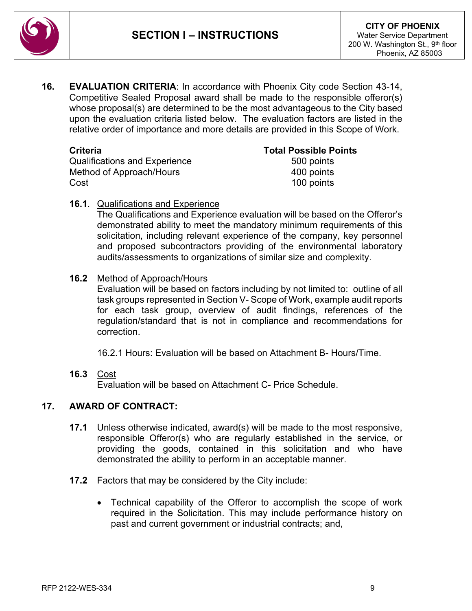

**16. EVALUATION CRITERIA**: In accordance with Phoenix City code Section 43-14, Competitive Sealed Proposal award shall be made to the responsible offeror(s) whose proposal(s) are determined to be the most advantageous to the City based upon the evaluation criteria listed below. The evaluation factors are listed in the relative order of importance and more details are provided in this Scope of Work.

Qualifications and Experience Method of Approach/Hours 400 points Cost 100 points

**Total Possible Points**<br>500 points

#### **16.1**. Qualifications and Experience

The Qualifications and Experience evaluation will be based on the Offeror's demonstrated ability to meet the mandatory minimum requirements of this solicitation, including relevant experience of the company, key personnel and proposed subcontractors providing of the environmental laboratory audits/assessments to organizations of similar size and complexity.

#### **16.2** Method of Approach/Hours

Evaluation will be based on factors including by not limited to: outline of all task groups represented in Section V- Scope of Work, example audit reports for each task group, overview of audit findings, references of the regulation/standard that is not in compliance and recommendations for correction.

16.2.1 Hours: Evaluation will be based on Attachment B- Hours/Time.

**16.3** Cost

Evaluation will be based on Attachment C- Price Schedule.

### **17. AWARD OF CONTRACT:**

- **17.1** Unless otherwise indicated, award(s) will be made to the most responsive, responsible Offeror(s) who are regularly established in the service, or providing the goods, contained in this solicitation and who have demonstrated the ability to perform in an acceptable manner.
- **17.2** Factors that may be considered by the City include:
	- Technical capability of the Offeror to accomplish the scope of work required in the Solicitation. This may include performance history on past and current government or industrial contracts; and,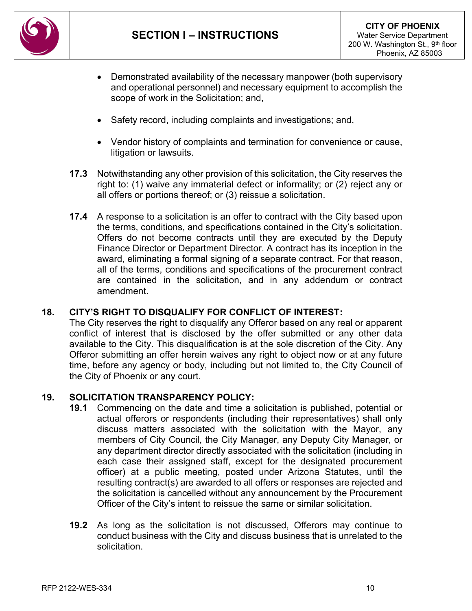

- Demonstrated availability of the necessary manpower (both supervisory and operational personnel) and necessary equipment to accomplish the scope of work in the Solicitation; and,
- Safety record, including complaints and investigations; and,
- Vendor history of complaints and termination for convenience or cause, litigation or lawsuits.
- **17.3** Notwithstanding any other provision of this solicitation, the City reserves the right to: (1) waive any immaterial defect or informality; or (2) reject any or all offers or portions thereof; or (3) reissue a solicitation.
- **17.4** A response to a solicitation is an offer to contract with the City based upon the terms, conditions, and specifications contained in the City's solicitation. Offers do not become contracts until they are executed by the Deputy Finance Director or Department Director. A contract has its inception in the award, eliminating a formal signing of a separate contract. For that reason, all of the terms, conditions and specifications of the procurement contract are contained in the solicitation, and in any addendum or contract amendment.

#### **18. CITY'S RIGHT TO DISQUALIFY FOR CONFLICT OF INTEREST:**

The City reserves the right to disqualify any Offeror based on any real or apparent conflict of interest that is disclosed by the offer submitted or any other data available to the City. This disqualification is at the sole discretion of the City. Any Offeror submitting an offer herein waives any right to object now or at any future time, before any agency or body, including but not limited to, the City Council of the City of Phoenix or any court.

#### **19. SOLICITATION TRANSPARENCY POLICY:**

- **19.1** Commencing on the date and time a solicitation is published, potential or actual offerors or respondents (including their representatives) shall only discuss matters associated with the solicitation with the Mayor, any members of City Council, the City Manager, any Deputy City Manager, or any department director directly associated with the solicitation (including in each case their assigned staff, except for the designated procurement officer) at a public meeting, posted under Arizona Statutes, until the resulting contract(s) are awarded to all offers or responses are rejected and the solicitation is cancelled without any announcement by the Procurement Officer of the City's intent to reissue the same or similar solicitation.
- **19.2** As long as the solicitation is not discussed, Offerors may continue to conduct business with the City and discuss business that is unrelated to the solicitation.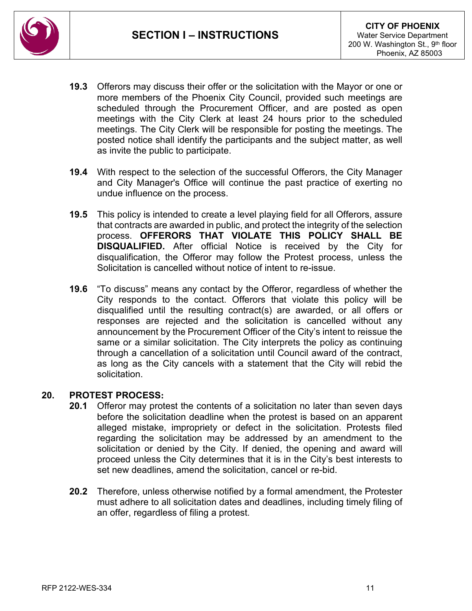

- **19.3** Offerors may discuss their offer or the solicitation with the Mayor or one or more members of the Phoenix City Council, provided such meetings are scheduled through the Procurement Officer, and are posted as open meetings with the City Clerk at least 24 hours prior to the scheduled meetings. The City Clerk will be responsible for posting the meetings. The posted notice shall identify the participants and the subject matter, as well as invite the public to participate.
- **19.4** With respect to the selection of the successful Offerors, the City Manager and City Manager's Office will continue the past practice of exerting no undue influence on the process.
- **19.5** This policy is intended to create a level playing field for all Offerors, assure that contracts are awarded in public, and protect the integrity of the selection process. **OFFERORS THAT VIOLATE THIS POLICY SHALL BE DISQUALIFIED.** After official Notice is received by the City for disqualification, the Offeror may follow the Protest process, unless the Solicitation is cancelled without notice of intent to re-issue.
- **19.6** "To discuss" means any contact by the Offeror, regardless of whether the City responds to the contact. Offerors that violate this policy will be disqualified until the resulting contract(s) are awarded, or all offers or responses are rejected and the solicitation is cancelled without any announcement by the Procurement Officer of the City's intent to reissue the same or a similar solicitation. The City interprets the policy as continuing through a cancellation of a solicitation until Council award of the contract, as long as the City cancels with a statement that the City will rebid the solicitation.

#### **20. PROTEST PROCESS:**

- **20.1** Offeror may protest the contents of a solicitation no later than seven days before the solicitation deadline when the protest is based on an apparent alleged mistake, impropriety or defect in the solicitation. Protests filed regarding the solicitation may be addressed by an amendment to the solicitation or denied by the City. If denied, the opening and award will proceed unless the City determines that it is in the City's best interests to set new deadlines, amend the solicitation, cancel or re-bid.
- **20.2** Therefore, unless otherwise notified by a formal amendment, the Protester must adhere to all solicitation dates and deadlines, including timely filing of an offer, regardless of filing a protest.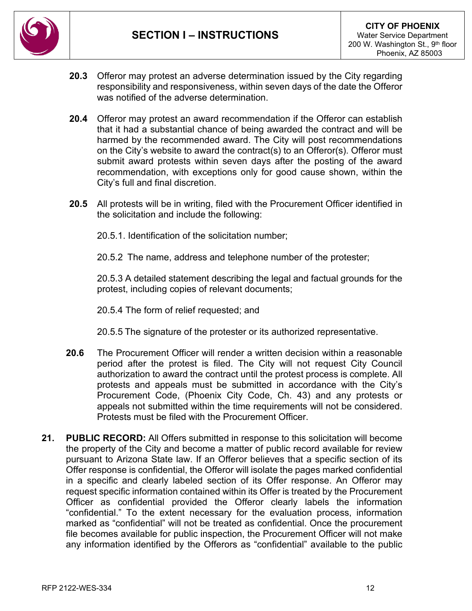

- **20.3** Offeror may protest an adverse determination issued by the City regarding responsibility and responsiveness, within seven days of the date the Offeror was notified of the adverse determination.
- **20.4** Offeror may protest an award recommendation if the Offeror can establish that it had a substantial chance of being awarded the contract and will be harmed by the recommended award. The City will post recommendations on the City's website to award the contract(s) to an Offeror(s). Offeror must submit award protests within seven days after the posting of the award recommendation, with exceptions only for good cause shown, within the City's full and final discretion.
- **20.5** All protests will be in writing, filed with the Procurement Officer identified in the solicitation and include the following:
	- 20.5.1. Identification of the solicitation number;

20.5.2 The name, address and telephone number of the protester;

20.5.3 A detailed statement describing the legal and factual grounds for the protest, including copies of relevant documents;

- 20.5.4 The form of relief requested; and
- 20.5.5 The signature of the protester or its authorized representative.
- **20.6** The Procurement Officer will render a written decision within a reasonable period after the protest is filed. The City will not request City Council authorization to award the contract until the protest process is complete. All protests and appeals must be submitted in accordance with the City's Procurement Code, (Phoenix City Code, Ch. 43) and any protests or appeals not submitted within the time requirements will not be considered. Protests must be filed with the Procurement Officer.
- **21. PUBLIC RECORD:** All Offers submitted in response to this solicitation will become the property of the City and become a matter of public record available for review pursuant to Arizona State law. If an Offeror believes that a specific section of its Offer response is confidential, the Offeror will isolate the pages marked confidential in a specific and clearly labeled section of its Offer response. An Offeror may request specific information contained within its Offer is treated by the Procurement Officer as confidential provided the Offeror clearly labels the information "confidential." To the extent necessary for the evaluation process, information marked as "confidential" will not be treated as confidential. Once the procurement file becomes available for public inspection, the Procurement Officer will not make any information identified by the Offerors as "confidential" available to the public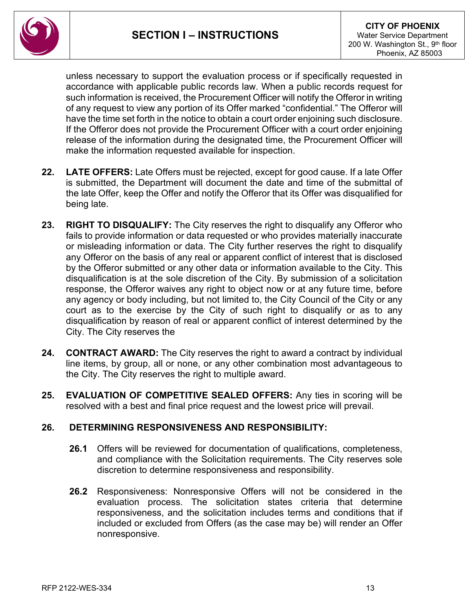

unless necessary to support the evaluation process or if specifically requested in accordance with applicable public records law. When a public records request for such information is received, the Procurement Officer will notify the Offeror in writing of any request to view any portion of its Offer marked "confidential." The Offeror will have the time set forth in the notice to obtain a court order enjoining such disclosure. If the Offeror does not provide the Procurement Officer with a court order enjoining release of the information during the designated time, the Procurement Officer will make the information requested available for inspection.

- **22. LATE OFFERS:** Late Offers must be rejected, except for good cause. If a late Offer is submitted, the Department will document the date and time of the submittal of the late Offer, keep the Offer and notify the Offeror that its Offer was disqualified for being late.
- **23. RIGHT TO DISQUALIFY:** The City reserves the right to disqualify any Offeror who fails to provide information or data requested or who provides materially inaccurate or misleading information or data. The City further reserves the right to disqualify any Offeror on the basis of any real or apparent conflict of interest that is disclosed by the Offeror submitted or any other data or information available to the City. This disqualification is at the sole discretion of the City. By submission of a solicitation response, the Offeror waives any right to object now or at any future time, before any agency or body including, but not limited to, the City Council of the City or any court as to the exercise by the City of such right to disqualify or as to any disqualification by reason of real or apparent conflict of interest determined by the City. The City reserves the
- **24. CONTRACT AWARD:** The City reserves the right to award a contract by individual line items, by group, all or none, or any other combination most advantageous to the City. The City reserves the right to multiple award.
- **25. EVALUATION OF COMPETITIVE SEALED OFFERS:** Any ties in scoring will be resolved with a best and final price request and the lowest price will prevail.

#### **26. DETERMINING RESPONSIVENESS AND RESPONSIBILITY:**

- **26.1** Offers will be reviewed for documentation of qualifications, completeness, and compliance with the Solicitation requirements. The City reserves sole discretion to determine responsiveness and responsibility.
- **26.2** Responsiveness: Nonresponsive Offers will not be considered in the evaluation process. The solicitation states criteria that determine responsiveness, and the solicitation includes terms and conditions that if included or excluded from Offers (as the case may be) will render an Offer nonresponsive.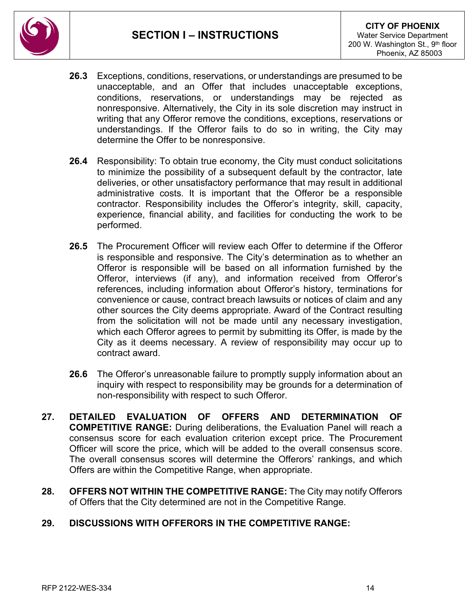

- **26.3** Exceptions, conditions, reservations, or understandings are presumed to be unacceptable, and an Offer that includes unacceptable exceptions, conditions, reservations, or understandings may be rejected as nonresponsive. Alternatively, the City in its sole discretion may instruct in writing that any Offeror remove the conditions, exceptions, reservations or understandings. If the Offeror fails to do so in writing, the City may determine the Offer to be nonresponsive.
- **26.4** Responsibility: To obtain true economy, the City must conduct solicitations to minimize the possibility of a subsequent default by the contractor, late deliveries, or other unsatisfactory performance that may result in additional administrative costs. It is important that the Offeror be a responsible contractor. Responsibility includes the Offeror's integrity, skill, capacity, experience, financial ability, and facilities for conducting the work to be performed.
- **26.5** The Procurement Officer will review each Offer to determine if the Offeror is responsible and responsive. The City's determination as to whether an Offeror is responsible will be based on all information furnished by the Offeror, interviews (if any), and information received from Offeror's references, including information about Offeror's history, terminations for convenience or cause, contract breach lawsuits or notices of claim and any other sources the City deems appropriate. Award of the Contract resulting from the solicitation will not be made until any necessary investigation, which each Offeror agrees to permit by submitting its Offer, is made by the City as it deems necessary. A review of responsibility may occur up to contract award.
- **26.6** The Offeror's unreasonable failure to promptly supply information about an inquiry with respect to responsibility may be grounds for a determination of non-responsibility with respect to such Offeror.
- **27. DETAILED EVALUATION OF OFFERS AND DETERMINATION OF COMPETITIVE RANGE:** During deliberations, the Evaluation Panel will reach a consensus score for each evaluation criterion except price. The Procurement Officer will score the price, which will be added to the overall consensus score. The overall consensus scores will determine the Offerors' rankings, and which Offers are within the Competitive Range, when appropriate.
- **28. OFFERS NOT WITHIN THE COMPETITIVE RANGE:** The City may notify Offerors of Offers that the City determined are not in the Competitive Range.

### **29. DISCUSSIONS WITH OFFERORS IN THE COMPETITIVE RANGE:**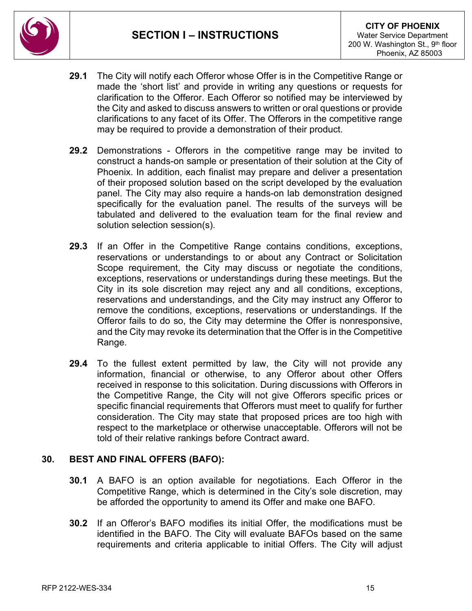

- **29.1** The City will notify each Offeror whose Offer is in the Competitive Range or made the 'short list' and provide in writing any questions or requests for clarification to the Offeror. Each Offeror so notified may be interviewed by the City and asked to discuss answers to written or oral questions or provide clarifications to any facet of its Offer. The Offerors in the competitive range may be required to provide a demonstration of their product.
- **29.2** Demonstrations Offerors in the competitive range may be invited to construct a hands-on sample or presentation of their solution at the City of Phoenix. In addition, each finalist may prepare and deliver a presentation of their proposed solution based on the script developed by the evaluation panel. The City may also require a hands-on lab demonstration designed specifically for the evaluation panel. The results of the surveys will be tabulated and delivered to the evaluation team for the final review and solution selection session(s).
- **29.3** If an Offer in the Competitive Range contains conditions, exceptions, reservations or understandings to or about any Contract or Solicitation Scope requirement, the City may discuss or negotiate the conditions, exceptions, reservations or understandings during these meetings. But the City in its sole discretion may reject any and all conditions, exceptions, reservations and understandings, and the City may instruct any Offeror to remove the conditions, exceptions, reservations or understandings. If the Offeror fails to do so, the City may determine the Offer is nonresponsive, and the City may revoke its determination that the Offer is in the Competitive Range.
- **29.4** To the fullest extent permitted by law, the City will not provide any information, financial or otherwise, to any Offeror about other Offers received in response to this solicitation. During discussions with Offerors in the Competitive Range, the City will not give Offerors specific prices or specific financial requirements that Offerors must meet to qualify for further consideration. The City may state that proposed prices are too high with respect to the marketplace or otherwise unacceptable. Offerors will not be told of their relative rankings before Contract award.

### **30. BEST AND FINAL OFFERS (BAFO):**

- **30.1** A BAFO is an option available for negotiations. Each Offeror in the Competitive Range, which is determined in the City's sole discretion, may be afforded the opportunity to amend its Offer and make one BAFO.
- **30.2** If an Offeror's BAFO modifies its initial Offer, the modifications must be identified in the BAFO. The City will evaluate BAFOs based on the same requirements and criteria applicable to initial Offers. The City will adjust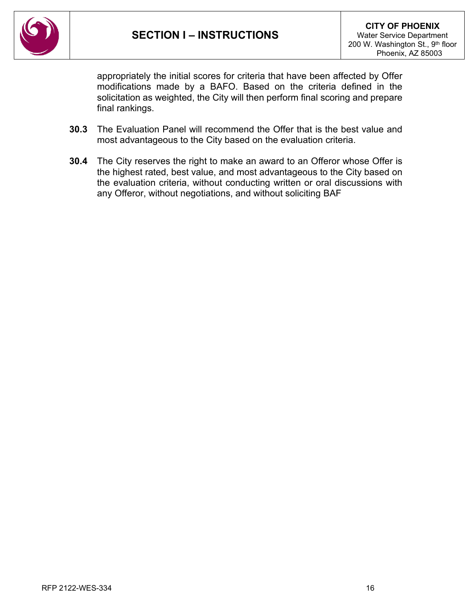

appropriately the initial scores for criteria that have been affected by Offer modifications made by a BAFO. Based on the criteria defined in the solicitation as weighted, the City will then perform final scoring and prepare final rankings.

- **30.3** The Evaluation Panel will recommend the Offer that is the best value and most advantageous to the City based on the evaluation criteria.
- **30.4** The City reserves the right to make an award to an Offeror whose Offer is the highest rated, best value, and most advantageous to the City based on the evaluation criteria, without conducting written or oral discussions with any Offeror, without negotiations, and without soliciting BAF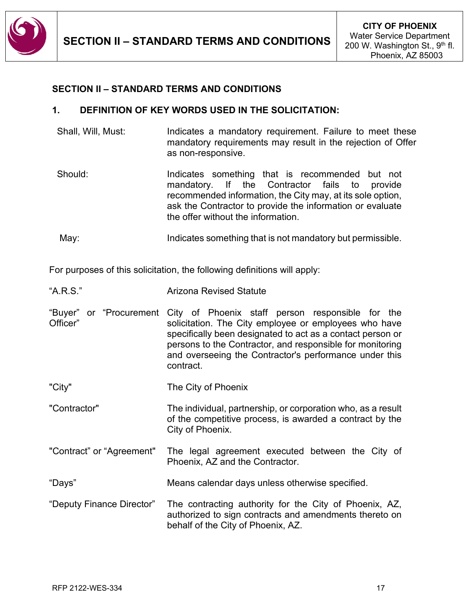

### <span id="page-16-0"></span>**SECTION II – STANDARD TERMS AND CONDITIONS**

#### **1. DEFINITION OF KEY WORDS USED IN THE SOLICITATION:**

- Shall, Will, Must: Indicates a mandatory requirement. Failure to meet these mandatory requirements may result in the rejection of Offer as non-responsive.
- Should: Indicates something that is recommended but not mandatory. If the Contractor fails to provide recommended information, the City may, at its sole option, ask the Contractor to provide the information or evaluate the offer without the information.

May: Indicates something that is not mandatory but permissible.

For purposes of this solicitation, the following definitions will apply:

| "A.R.S." | <b>Arizona Revised Statute</b>                                                                                                                                                                                                                                                                                                      |
|----------|-------------------------------------------------------------------------------------------------------------------------------------------------------------------------------------------------------------------------------------------------------------------------------------------------------------------------------------|
| Officer" | "Buyer" or "Procurement City of Phoenix staff person responsible for the<br>solicitation. The City employee or employees who have<br>specifically been designated to act as a contact person or<br>persons to the Contractor, and responsible for monitoring<br>and overseeing the Contractor's performance under this<br>contract. |
| "City"   | The City of Phoenix                                                                                                                                                                                                                                                                                                                 |

- "Contractor" The individual, partnership, or corporation who, as a result of the competitive process, is awarded a contract by the City of Phoenix.
- "Contract" or "Agreement" The legal agreement executed between the City of Phoenix, AZ and the Contractor.
- "Days" Means calendar days unless otherwise specified.
- "Deputy Finance Director" The contracting authority for the City of Phoenix, AZ, authorized to sign contracts and amendments thereto on behalf of the City of Phoenix, AZ.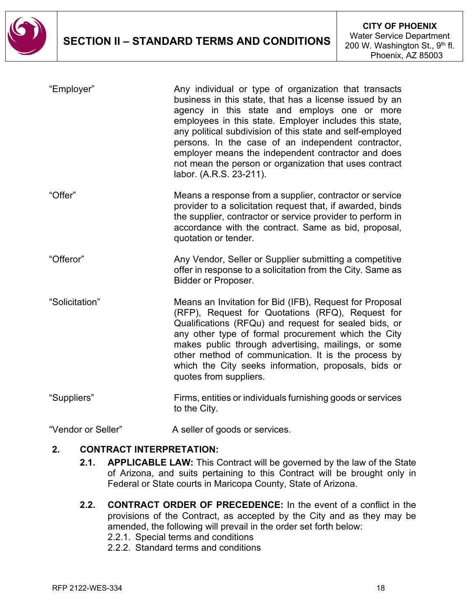

| "Employer"     | Any individual or type of organization that transacts<br>business in this state, that has a license issued by an<br>agency in this state and employs one or more<br>employees in this state. Employer includes this state,<br>any political subdivision of this state and self-employed<br>persons. In the case of an independent contractor,<br>employer means the independent contractor and does<br>not mean the person or organization that uses contract<br>labor. (A.R.S. 23-211). |
|----------------|------------------------------------------------------------------------------------------------------------------------------------------------------------------------------------------------------------------------------------------------------------------------------------------------------------------------------------------------------------------------------------------------------------------------------------------------------------------------------------------|
| "Offer"        | Means a response from a supplier, contractor or service<br>provider to a solicitation request that, if awarded, binds<br>the supplier, contractor or service provider to perform in<br>accordance with the contract. Same as bid, proposal,<br>quotation or tender.                                                                                                                                                                                                                      |
| "Offeror"      | Any Vendor, Seller or Supplier submitting a competitive<br>offer in response to a solicitation from the City. Same as<br><b>Bidder or Proposer.</b>                                                                                                                                                                                                                                                                                                                                      |
| "Solicitation" | Means an Invitation for Bid (IFB), Request for Proposal<br>(RFP), Request for Quotations (RFQ), Request for<br>Qualifications (RFQu) and request for sealed bids, or<br>any other type of formal procurement which the City<br>makes public through advertising, mailings, or some<br>other method of communication. It is the process by<br>which the City seeks information, proposals, bids or<br>quotes from suppliers.                                                              |
| "Suppliers"    | Firms, entities or individuals furnishing goods or services<br>to the City.                                                                                                                                                                                                                                                                                                                                                                                                              |

"Vendor or Seller" A seller of goods or services.

### **2. CONTRACT INTERPRETATION:**

- **2.1. APPLICABLE LAW:** This Contract will be governed by the law of the State of Arizona, and suits pertaining to this Contract will be brought only in Federal or State courts in Maricopa County, State of Arizona.
- **2.2. CONTRACT ORDER OF PRECEDENCE:** In the event of a conflict in the provisions of the Contract, as accepted by the City and as they may be amended, the following will prevail in the order set forth below:
	- 2.2.1. Special terms and conditions
	- 2.2.2. Standard terms and conditions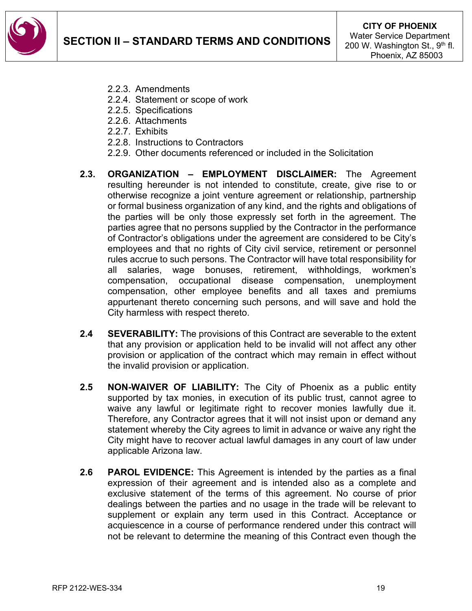

- 2.2.3. Amendments
- 2.2.4. Statement or scope of work
- 2.2.5. Specifications
- 2.2.6. Attachments
- 2.2.7. Exhibits
- 2.2.8. Instructions to Contractors
- 2.2.9. Other documents referenced or included in the Solicitation
- **2.3. ORGANIZATION – EMPLOYMENT DISCLAIMER:** The Agreement resulting hereunder is not intended to constitute, create, give rise to or otherwise recognize a joint venture agreement or relationship, partnership or formal business organization of any kind, and the rights and obligations of the parties will be only those expressly set forth in the agreement. The parties agree that no persons supplied by the Contractor in the performance of Contractor's obligations under the agreement are considered to be City's employees and that no rights of City civil service, retirement or personnel rules accrue to such persons. The Contractor will have total responsibility for all salaries, wage bonuses, retirement, withholdings, workmen's compensation, occupational disease compensation, unemployment compensation, other employee benefits and all taxes and premiums appurtenant thereto concerning such persons, and will save and hold the City harmless with respect thereto.
- **2.4 SEVERABILITY:** The provisions of this Contract are severable to the extent that any provision or application held to be invalid will not affect any other provision or application of the contract which may remain in effect without the invalid provision or application.
- **2.5 NON-WAIVER OF LIABILITY:** The City of Phoenix as a public entity supported by tax monies, in execution of its public trust, cannot agree to waive any lawful or legitimate right to recover monies lawfully due it. Therefore, any Contractor agrees that it will not insist upon or demand any statement whereby the City agrees to limit in advance or waive any right the City might have to recover actual lawful damages in any court of law under applicable Arizona law.
- **2.6 PAROL EVIDENCE:** This Agreement is intended by the parties as a final expression of their agreement and is intended also as a complete and exclusive statement of the terms of this agreement. No course of prior dealings between the parties and no usage in the trade will be relevant to supplement or explain any term used in this Contract. Acceptance or acquiescence in a course of performance rendered under this contract will not be relevant to determine the meaning of this Contract even though the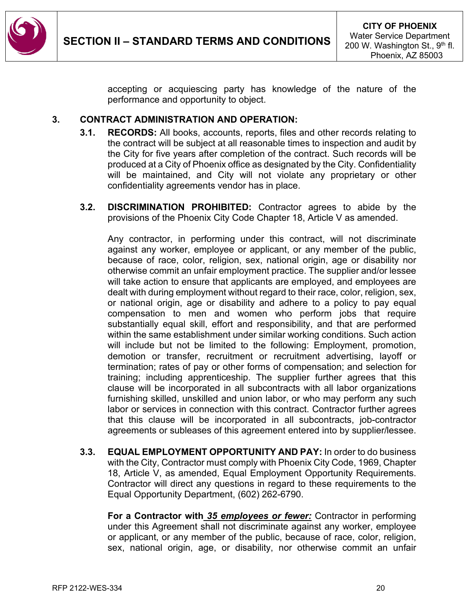

accepting or acquiescing party has knowledge of the nature of the performance and opportunity to object.

### **3. CONTRACT ADMINISTRATION AND OPERATION:**

- **3.1. RECORDS:** All books, accounts, reports, files and other records relating to the contract will be subject at all reasonable times to inspection and audit by the City for five years after completion of the contract. Such records will be produced at a City of Phoenix office as designated by the City. Confidentiality will be maintained, and City will not violate any proprietary or other confidentiality agreements vendor has in place.
- **3.2. DISCRIMINATION PROHIBITED:** Contractor agrees to abide by the provisions of the Phoenix City Code Chapter 18, Article V as amended.

Any contractor, in performing under this contract, will not discriminate against any worker, employee or applicant, or any member of the public, because of race, color, religion, sex, national origin, age or disability nor otherwise commit an unfair employment practice. The supplier and/or lessee will take action to ensure that applicants are employed, and employees are dealt with during employment without regard to their race, color, religion, sex, or national origin, age or disability and adhere to a policy to pay equal compensation to men and women who perform jobs that require substantially equal skill, effort and responsibility, and that are performed within the same establishment under similar working conditions. Such action will include but not be limited to the following: Employment, promotion, demotion or transfer, recruitment or recruitment advertising, layoff or termination; rates of pay or other forms of compensation; and selection for training; including apprenticeship. The supplier further agrees that this clause will be incorporated in all subcontracts with all labor organizations furnishing skilled, unskilled and union labor, or who may perform any such labor or services in connection with this contract. Contractor further agrees that this clause will be incorporated in all subcontracts, job-contractor agreements or subleases of this agreement entered into by supplier/lessee.

**3.3. EQUAL EMPLOYMENT OPPORTUNITY AND PAY:** In order to do business with the City, Contractor must comply with Phoenix City Code, 1969, Chapter 18, Article V, as amended, Equal Employment Opportunity Requirements. Contractor will direct any questions in regard to these requirements to the Equal Opportunity Department, (602) 262-6790.

**For a Contractor with** *35 employees or fewer:* Contractor in performing under this Agreement shall not discriminate against any worker, employee or applicant, or any member of the public, because of race, color, religion, sex, national origin, age, or disability, nor otherwise commit an unfair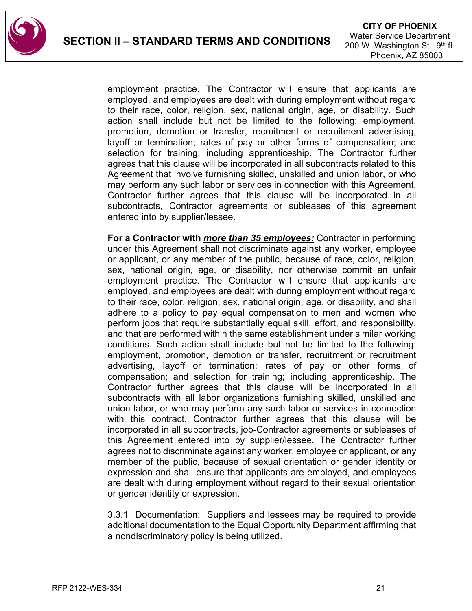

employment practice. The Contractor will ensure that applicants are employed, and employees are dealt with during employment without regard to their race, color, religion, sex, national origin, age, or disability. Such action shall include but not be limited to the following: employment, promotion, demotion or transfer, recruitment or recruitment advertising, layoff or termination; rates of pay or other forms of compensation; and selection for training; including apprenticeship. The Contractor further agrees that this clause will be incorporated in all subcontracts related to this Agreement that involve furnishing skilled, unskilled and union labor, or who may perform any such labor or services in connection with this Agreement. Contractor further agrees that this clause will be incorporated in all subcontracts, Contractor agreements or subleases of this agreement entered into by supplier/lessee.

**For a Contractor with** *more than 35 employees:* Contractor in performing under this Agreement shall not discriminate against any worker, employee or applicant, or any member of the public, because of race, color, religion, sex, national origin, age, or disability, nor otherwise commit an unfair employment practice. The Contractor will ensure that applicants are employed, and employees are dealt with during employment without regard to their race, color, religion, sex, national origin, age, or disability, and shall adhere to a policy to pay equal compensation to men and women who perform jobs that require substantially equal skill, effort, and responsibility, and that are performed within the same establishment under similar working conditions. Such action shall include but not be limited to the following: employment, promotion, demotion or transfer, recruitment or recruitment advertising, layoff or termination; rates of pay or other forms of compensation; and selection for training; including apprenticeship. The Contractor further agrees that this clause will be incorporated in all subcontracts with all labor organizations furnishing skilled, unskilled and union labor, or who may perform any such labor or services in connection with this contract. Contractor further agrees that this clause will be incorporated in all subcontracts, job-Contractor agreements or subleases of this Agreement entered into by supplier/lessee. The Contractor further agrees not to discriminate against any worker, employee or applicant, or any member of the public, because of sexual orientation or gender identity or expression and shall ensure that applicants are employed, and employees are dealt with during employment without regard to their sexual orientation or gender identity or expression.

3.3.1 Documentation: Suppliers and lessees may be required to provide additional documentation to the Equal Opportunity Department affirming that a nondiscriminatory policy is being utilized.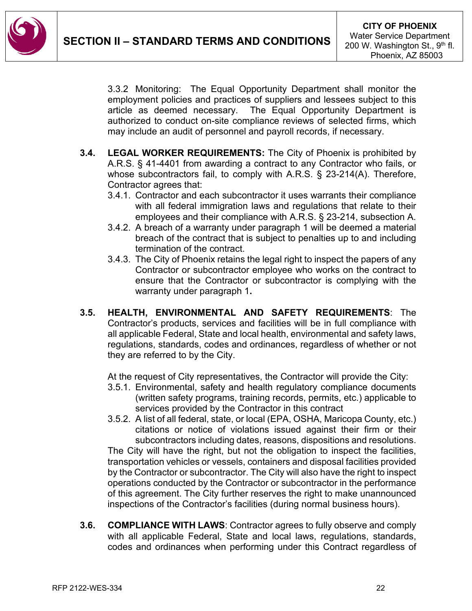

3.3.2 Monitoring: The Equal Opportunity Department shall monitor the employment policies and practices of suppliers and lessees subject to this article as deemed necessary. The Equal Opportunity Department is authorized to conduct on-site compliance reviews of selected firms, which may include an audit of personnel and payroll records, if necessary.

- **3.4. LEGAL WORKER REQUIREMENTS:** The City of Phoenix is prohibited by A.R.S. § 41-4401 from awarding a contract to any Contractor who fails, or whose subcontractors fail, to comply with A.R.S. § 23-214(A). Therefore, Contractor agrees that:
	- 3.4.1. Contractor and each subcontractor it uses warrants their compliance with all federal immigration laws and regulations that relate to their employees and their compliance with A.R.S. § 23-214, subsection A.
	- 3.4.2. A breach of a warranty under paragraph 1 will be deemed a material breach of the contract that is subject to penalties up to and including termination of the contract.
	- 3.4.3. The City of Phoenix retains the legal right to inspect the papers of any Contractor or subcontractor employee who works on the contract to ensure that the Contractor or subcontractor is complying with the warranty under paragraph 1**.**
- **3.5. HEALTH, ENVIRONMENTAL AND SAFETY REQUIREMENTS**: The Contractor's products, services and facilities will be in full compliance with all applicable Federal, State and local health, environmental and safety laws, regulations, standards, codes and ordinances, regardless of whether or not they are referred to by the City.

At the request of City representatives, the Contractor will provide the City:

- 3.5.1. Environmental, safety and health regulatory compliance documents (written safety programs, training records, permits, etc.) applicable to services provided by the Contractor in this contract
- 3.5.2. A list of all federal, state, or local (EPA, OSHA, Maricopa County, etc.) citations or notice of violations issued against their firm or their subcontractors including dates, reasons, dispositions and resolutions. The City will have the right, but not the obligation to inspect the facilities, transportation vehicles or vessels, containers and disposal facilities provided by the Contractor or subcontractor. The City will also have the right to inspect operations conducted by the Contractor or subcontractor in the performance of this agreement. The City further reserves the right to make unannounced inspections of the Contractor's facilities (during normal business hours).
- **3.6. COMPLIANCE WITH LAWS**: Contractor agrees to fully observe and comply with all applicable Federal, State and local laws, regulations, standards, codes and ordinances when performing under this Contract regardless of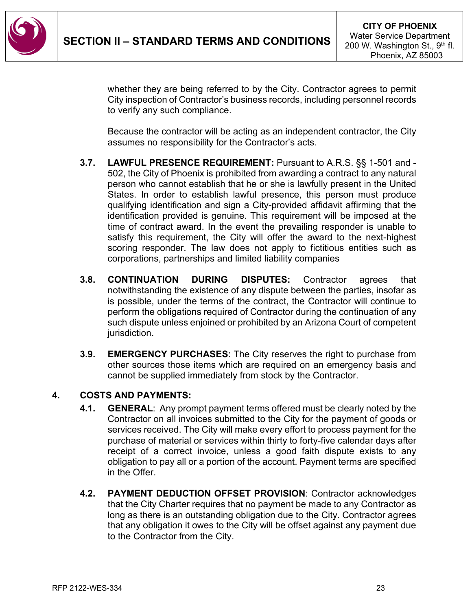

whether they are being referred to by the City. Contractor agrees to permit City inspection of Contractor's business records, including personnel records to verify any such compliance.

Because the contractor will be acting as an independent contractor, the City assumes no responsibility for the Contractor's acts.

- **3.7. LAWFUL PRESENCE REQUIREMENT:** Pursuant to A.R.S. §§ 1-501 and 502, the City of Phoenix is prohibited from awarding a contract to any natural person who cannot establish that he or she is lawfully present in the United States. In order to establish lawful presence, this person must produce qualifying identification and sign a City-provided affidavit affirming that the identification provided is genuine. This requirement will be imposed at the time of contract award. In the event the prevailing responder is unable to satisfy this requirement, the City will offer the award to the next-highest scoring responder. The law does not apply to fictitious entities such as corporations, partnerships and limited liability companies
- **3.8. CONTINUATION DURING DISPUTES:** Contractor agrees that notwithstanding the existence of any dispute between the parties, insofar as is possible, under the terms of the contract, the Contractor will continue to perform the obligations required of Contractor during the continuation of any such dispute unless enjoined or prohibited by an Arizona Court of competent jurisdiction.
- **3.9. EMERGENCY PURCHASES**: The City reserves the right to purchase from other sources those items which are required on an emergency basis and cannot be supplied immediately from stock by the Contractor.

### **4. COSTS AND PAYMENTS:**

- **4.1. GENERAL**: Any prompt payment terms offered must be clearly noted by the Contractor on all invoices submitted to the City for the payment of goods or services received. The City will make every effort to process payment for the purchase of material or services within thirty to forty-five calendar days after receipt of a correct invoice, unless a good faith dispute exists to any obligation to pay all or a portion of the account. Payment terms are specified in the Offer.
- **4.2. PAYMENT DEDUCTION OFFSET PROVISION**: Contractor acknowledges that the City Charter requires that no payment be made to any Contractor as long as there is an outstanding obligation due to the City. Contractor agrees that any obligation it owes to the City will be offset against any payment due to the Contractor from the City.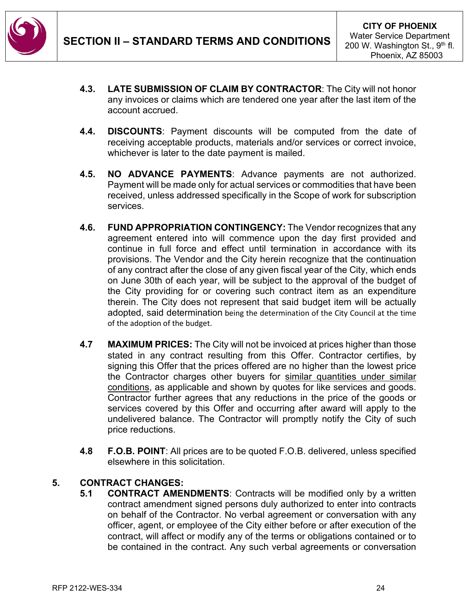

- **4.3. LATE SUBMISSION OF CLAIM BY CONTRACTOR**: The City will not honor any invoices or claims which are tendered one year after the last item of the account accrued.
- **4.4. DISCOUNTS**: Payment discounts will be computed from the date of receiving acceptable products, materials and/or services or correct invoice, whichever is later to the date payment is mailed.
- **4.5. NO ADVANCE PAYMENTS**: Advance payments are not authorized. Payment will be made only for actual services or commodities that have been received, unless addressed specifically in the Scope of work for subscription services.
- **4.6. FUND APPROPRIATION CONTINGENCY:** The Vendor recognizes that any agreement entered into will commence upon the day first provided and continue in full force and effect until termination in accordance with its provisions. The Vendor and the City herein recognize that the continuation of any contract after the close of any given fiscal year of the City, which ends on June 30th of each year, will be subject to the approval of the budget of the City providing for or covering such contract item as an expenditure therein. The City does not represent that said budget item will be actually adopted, said determination being the determination of the City Council at the time of the adoption of the budget.
- **4.7 MAXIMUM PRICES:** The City will not be invoiced at prices higher than those stated in any contract resulting from this Offer. Contractor certifies, by signing this Offer that the prices offered are no higher than the lowest price the Contractor charges other buyers for similar quantities under similar conditions, as applicable and shown by quotes for like services and goods. Contractor further agrees that any reductions in the price of the goods or services covered by this Offer and occurring after award will apply to the undelivered balance. The Contractor will promptly notify the City of such price reductions.
- **4.8 F.O.B. POINT**: All prices are to be quoted F.O.B. delivered, unless specified elsewhere in this solicitation.

### **5. CONTRACT CHANGES:**

**5.1 CONTRACT AMENDMENTS**: Contracts will be modified only by a written contract amendment signed persons duly authorized to enter into contracts on behalf of the Contractor. No verbal agreement or conversation with any officer, agent, or employee of the City either before or after execution of the contract, will affect or modify any of the terms or obligations contained or to be contained in the contract. Any such verbal agreements or conversation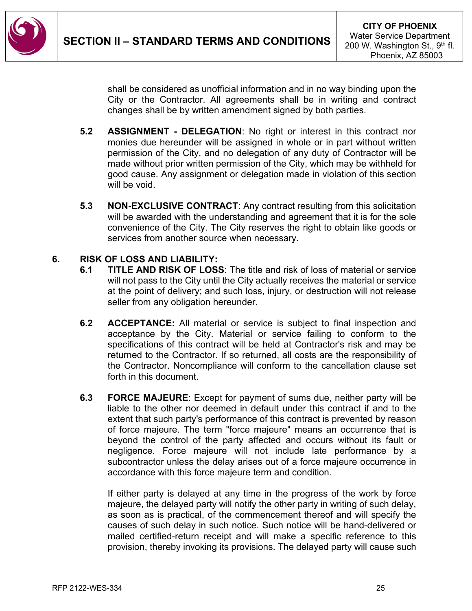

shall be considered as unofficial information and in no way binding upon the City or the Contractor. All agreements shall be in writing and contract changes shall be by written amendment signed by both parties.

- **5.2 ASSIGNMENT - DELEGATION**: No right or interest in this contract nor monies due hereunder will be assigned in whole or in part without written permission of the City, and no delegation of any duty of Contractor will be made without prior written permission of the City, which may be withheld for good cause. Any assignment or delegation made in violation of this section will be void.
- **5.3 NON-EXCLUSIVE CONTRACT**: Any contract resulting from this solicitation will be awarded with the understanding and agreement that it is for the sole convenience of the City. The City reserves the right to obtain like goods or services from another source when necessary**.**

#### **6. RISK OF LOSS AND LIABILITY:**

- **6.1 TITLE AND RISK OF LOSS**: The title and risk of loss of material or service will not pass to the City until the City actually receives the material or service at the point of delivery; and such loss, injury, or destruction will not release seller from any obligation hereunder.
- **6.2 ACCEPTANCE:** All material or service is subject to final inspection and acceptance by the City. Material or service failing to conform to the specifications of this contract will be held at Contractor's risk and may be returned to the Contractor. If so returned, all costs are the responsibility of the Contractor. Noncompliance will conform to the cancellation clause set forth in this document.
- **6.3 FORCE MAJEURE**: Except for payment of sums due, neither party will be liable to the other nor deemed in default under this contract if and to the extent that such party's performance of this contract is prevented by reason of force majeure. The term "force majeure" means an occurrence that is beyond the control of the party affected and occurs without its fault or negligence. Force majeure will not include late performance by a subcontractor unless the delay arises out of a force majeure occurrence in accordance with this force majeure term and condition.

If either party is delayed at any time in the progress of the work by force majeure, the delayed party will notify the other party in writing of such delay, as soon as is practical, of the commencement thereof and will specify the causes of such delay in such notice. Such notice will be hand-delivered or mailed certified-return receipt and will make a specific reference to this provision, thereby invoking its provisions. The delayed party will cause such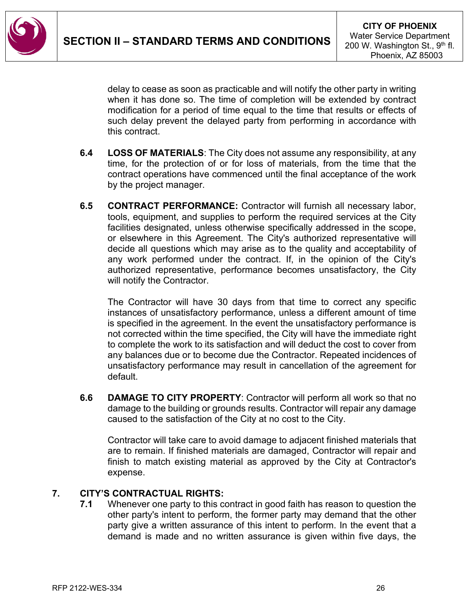

delay to cease as soon as practicable and will notify the other party in writing when it has done so. The time of completion will be extended by contract modification for a period of time equal to the time that results or effects of such delay prevent the delayed party from performing in accordance with this contract.

- **6.4 LOSS OF MATERIALS**: The City does not assume any responsibility, at any time, for the protection of or for loss of materials, from the time that the contract operations have commenced until the final acceptance of the work by the project manager.
- **6.5 CONTRACT PERFORMANCE:** Contractor will furnish all necessary labor, tools, equipment, and supplies to perform the required services at the City facilities designated, unless otherwise specifically addressed in the scope, or elsewhere in this Agreement. The City's authorized representative will decide all questions which may arise as to the quality and acceptability of any work performed under the contract. If, in the opinion of the City's authorized representative, performance becomes unsatisfactory, the City will notify the Contractor.

The Contractor will have 30 days from that time to correct any specific instances of unsatisfactory performance, unless a different amount of time is specified in the agreement. In the event the unsatisfactory performance is not corrected within the time specified, the City will have the immediate right to complete the work to its satisfaction and will deduct the cost to cover from any balances due or to become due the Contractor. Repeated incidences of unsatisfactory performance may result in cancellation of the agreement for default.

**6.6 DAMAGE TO CITY PROPERTY**: Contractor will perform all work so that no damage to the building or grounds results. Contractor will repair any damage caused to the satisfaction of the City at no cost to the City.

Contractor will take care to avoid damage to adjacent finished materials that are to remain. If finished materials are damaged, Contractor will repair and finish to match existing material as approved by the City at Contractor's expense.

### **7. CITY'S CONTRACTUAL RIGHTS:**

**7.1** Whenever one party to this contract in good faith has reason to question the other party's intent to perform, the former party may demand that the other party give a written assurance of this intent to perform. In the event that a demand is made and no written assurance is given within five days, the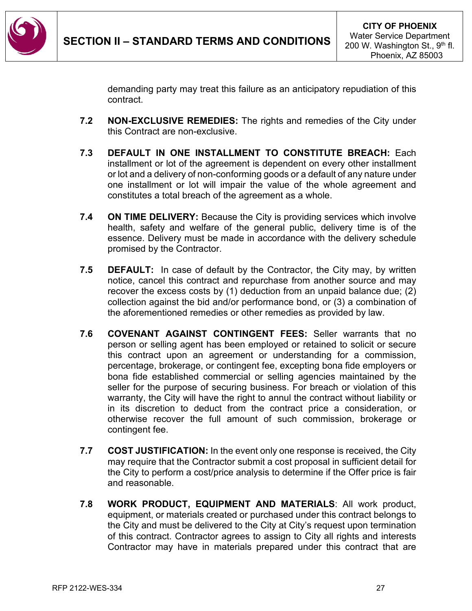

demanding party may treat this failure as an anticipatory repudiation of this contract.

- **7.2 NON-EXCLUSIVE REMEDIES:** The rights and remedies of the City under this Contract are non-exclusive.
- **7.3 DEFAULT IN ONE INSTALLMENT TO CONSTITUTE BREACH:** Each installment or lot of the agreement is dependent on every other installment or lot and a delivery of non-conforming goods or a default of any nature under one installment or lot will impair the value of the whole agreement and constitutes a total breach of the agreement as a whole.
- **7.4 ON TIME DELIVERY:** Because the City is providing services which involve health, safety and welfare of the general public, delivery time is of the essence. Delivery must be made in accordance with the delivery schedule promised by the Contractor.
- **7.5 DEFAULT:** In case of default by the Contractor, the City may, by written notice, cancel this contract and repurchase from another source and may recover the excess costs by (1) deduction from an unpaid balance due; (2) collection against the bid and/or performance bond, or (3) a combination of the aforementioned remedies or other remedies as provided by law.
- **7.6 COVENANT AGAINST CONTINGENT FEES:** Seller warrants that no person or selling agent has been employed or retained to solicit or secure this contract upon an agreement or understanding for a commission, percentage, brokerage, or contingent fee, excepting bona fide employers or bona fide established commercial or selling agencies maintained by the seller for the purpose of securing business. For breach or violation of this warranty, the City will have the right to annul the contract without liability or in its discretion to deduct from the contract price a consideration, or otherwise recover the full amount of such commission, brokerage or contingent fee.
- **7.7 COST JUSTIFICATION:** In the event only one response is received, the City may require that the Contractor submit a cost proposal in sufficient detail for the City to perform a cost/price analysis to determine if the Offer price is fair and reasonable.
- **7.8 WORK PRODUCT, EQUIPMENT AND MATERIALS**: All work product, equipment, or materials created or purchased under this contract belongs to the City and must be delivered to the City at City's request upon termination of this contract. Contractor agrees to assign to City all rights and interests Contractor may have in materials prepared under this contract that are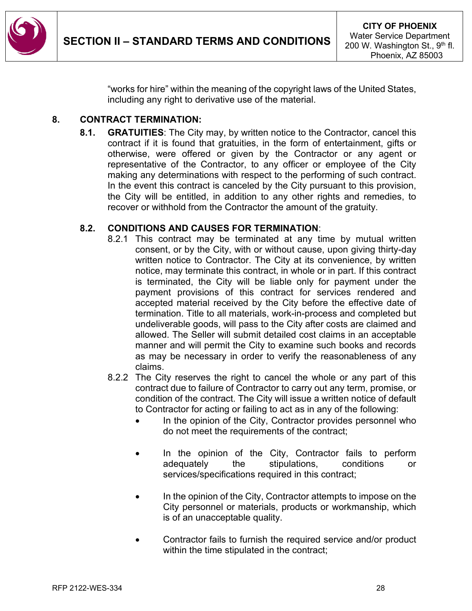

"works for hire" within the meaning of the copyright laws of the United States, including any right to derivative use of the material.

### **8. CONTRACT TERMINATION:**

**8.1. GRATUITIES**: The City may, by written notice to the Contractor, cancel this contract if it is found that gratuities, in the form of entertainment, gifts or otherwise, were offered or given by the Contractor or any agent or representative of the Contractor, to any officer or employee of the City making any determinations with respect to the performing of such contract. In the event this contract is canceled by the City pursuant to this provision, the City will be entitled, in addition to any other rights and remedies, to recover or withhold from the Contractor the amount of the gratuity.

### **8.2. CONDITIONS AND CAUSES FOR TERMINATION**:

- 8.2.1 This contract may be terminated at any time by mutual written consent, or by the City, with or without cause, upon giving thirty-day written notice to Contractor. The City at its convenience, by written notice, may terminate this contract, in whole or in part. If this contract is terminated, the City will be liable only for payment under the payment provisions of this contract for services rendered and accepted material received by the City before the effective date of termination. Title to all materials, work-in-process and completed but undeliverable goods, will pass to the City after costs are claimed and allowed. The Seller will submit detailed cost claims in an acceptable manner and will permit the City to examine such books and records as may be necessary in order to verify the reasonableness of any claims.
- 8.2.2 The City reserves the right to cancel the whole or any part of this contract due to failure of Contractor to carry out any term, promise, or condition of the contract. The City will issue a written notice of default to Contractor for acting or failing to act as in any of the following:
	- In the opinion of the City, Contractor provides personnel who do not meet the requirements of the contract;
	- In the opinion of the City, Contractor fails to perform adequately the stipulations, conditions or services/specifications required in this contract;
	- In the opinion of the City, Contractor attempts to impose on the City personnel or materials, products or workmanship, which is of an unacceptable quality.
	- Contractor fails to furnish the required service and/or product within the time stipulated in the contract;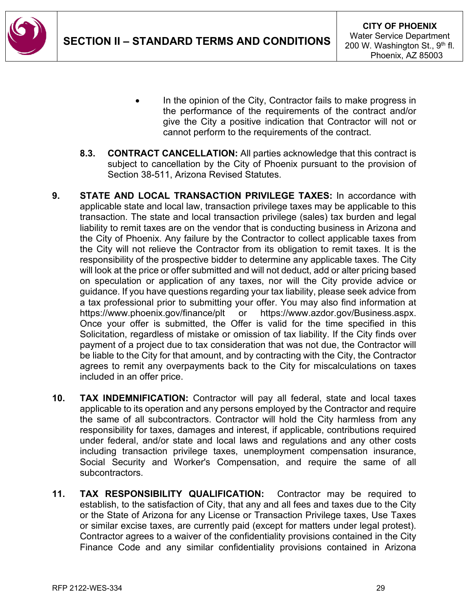

- In the opinion of the City, Contractor fails to make progress in the performance of the requirements of the contract and/or give the City a positive indication that Contractor will not or cannot perform to the requirements of the contract.
- **8.3. CONTRACT CANCELLATION:** All parties acknowledge that this contract is subject to cancellation by the City of Phoenix pursuant to the provision of Section 38-511, Arizona Revised Statutes.
- **9. STATE AND LOCAL TRANSACTION PRIVILEGE TAXES:** In accordance with applicable state and local law, transaction privilege taxes may be applicable to this transaction. The state and local transaction privilege (sales) tax burden and legal liability to remit taxes are on the vendor that is conducting business in Arizona and the City of Phoenix. Any failure by the Contractor to collect applicable taxes from the City will not relieve the Contractor from its obligation to remit taxes. It is the responsibility of the prospective bidder to determine any applicable taxes. The City will look at the price or offer submitted and will not deduct, add or alter pricing based on speculation or application of any taxes, nor will the City provide advice or guidance. If you have questions regarding your tax liability, please seek advice from a tax professional prior to submitting your offer. You may also find information at https://www.phoenix.gov/finance/plt or https://www.azdor.gov/Business.aspx. Once your offer is submitted, the Offer is valid for the time specified in this Solicitation, regardless of mistake or omission of tax liability. If the City finds over payment of a project due to tax consideration that was not due, the Contractor will be liable to the City for that amount, and by contracting with the City, the Contractor agrees to remit any overpayments back to the City for miscalculations on taxes included in an offer price.
- **10. TAX INDEMNIFICATION:** Contractor will pay all federal, state and local taxes applicable to its operation and any persons employed by the Contractor and require the same of all subcontractors. Contractor will hold the City harmless from any responsibility for taxes, damages and interest, if applicable, contributions required under federal, and/or state and local laws and regulations and any other costs including transaction privilege taxes, unemployment compensation insurance, Social Security and Worker's Compensation, and require the same of all subcontractors.
- **11. TAX RESPONSIBILITY QUALIFICATION:** Contractor may be required to establish, to the satisfaction of City, that any and all fees and taxes due to the City or the State of Arizona for any License or Transaction Privilege taxes, Use Taxes or similar excise taxes, are currently paid (except for matters under legal protest). Contractor agrees to a waiver of the confidentiality provisions contained in the City Finance Code and any similar confidentiality provisions contained in Arizona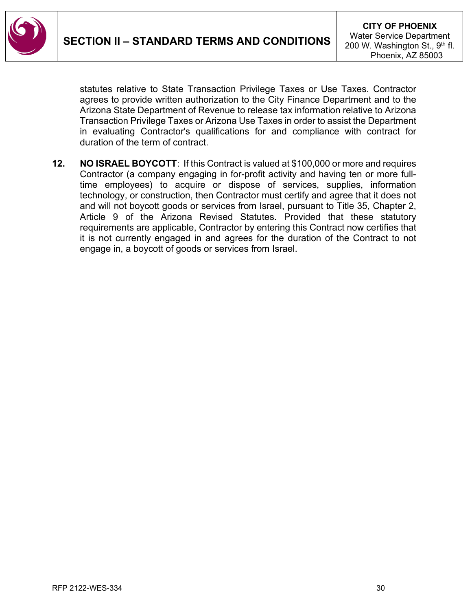

statutes relative to State Transaction Privilege Taxes or Use Taxes. Contractor agrees to provide written authorization to the City Finance Department and to the Arizona State Department of Revenue to release tax information relative to Arizona Transaction Privilege Taxes or Arizona Use Taxes in order to assist the Department in evaluating Contractor's qualifications for and compliance with contract for duration of the term of contract.

**12. NO ISRAEL BOYCOTT**: If this Contract is valued at \$100,000 or more and requires Contractor (a company engaging in for-profit activity and having ten or more fulltime employees) to acquire or dispose of services, supplies, information technology, or construction, then Contractor must certify and agree that it does not and will not boycott goods or services from Israel, pursuant to Title 35, Chapter 2, Article 9 of the Arizona Revised Statutes. Provided that these statutory requirements are applicable, Contractor by entering this Contract now certifies that it is not currently engaged in and agrees for the duration of the Contract to not engage in, a boycott of goods or services from Israel.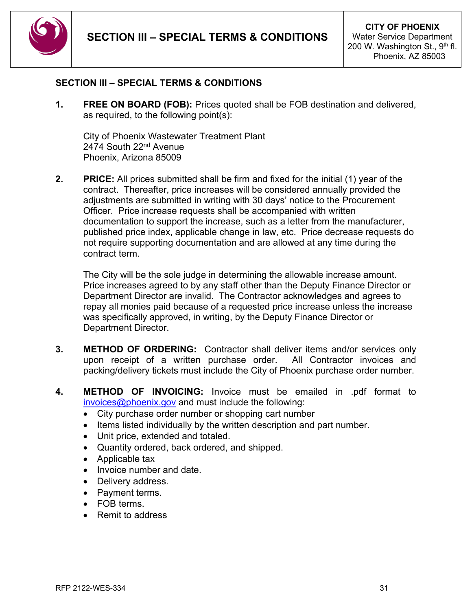

#### <span id="page-30-0"></span>**SECTION III – SPECIAL TERMS & CONDITIONS**

**1. FREE ON BOARD (FOB):** Prices quoted shall be FOB destination and delivered, as required, to the following point(s):

City of Phoenix Wastewater Treatment Plant 2474 South 22<sup>nd</sup> Avenue Phoenix, Arizona 85009

**2. PRICE:** All prices submitted shall be firm and fixed for the initial (1) year of the contract. Thereafter, price increases will be considered annually provided the adjustments are submitted in writing with 30 days' notice to the Procurement Officer. Price increase requests shall be accompanied with written documentation to support the increase, such as a letter from the manufacturer, published price index, applicable change in law, etc. Price decrease requests do not require supporting documentation and are allowed at any time during the contract term.

The City will be the sole judge in determining the allowable increase amount. Price increases agreed to by any staff other than the Deputy Finance Director or Department Director are invalid. The Contractor acknowledges and agrees to repay all monies paid because of a requested price increase unless the increase was specifically approved, in writing, by the Deputy Finance Director or Department Director.

- **3. METHOD OF ORDERING:** Contractor shall deliver items and/or services only upon receipt of a written purchase order. All Contractor invoices and packing/delivery tickets must include the City of Phoenix purchase order number.
- **4. METHOD OF INVOICING:** Invoice must be emailed in .pdf format to [invoices@phoenix.gov](mailto:invoices@phoenix.gov) and must include the following:
	- City purchase order number or shopping cart number
	- Items listed individually by the written description and part number.
	- Unit price, extended and totaled.
	- Quantity ordered, back ordered, and shipped.
	- Applicable tax
	- Invoice number and date.
	- Delivery address.
	- Payment terms.
	- FOB terms.
	- Remit to address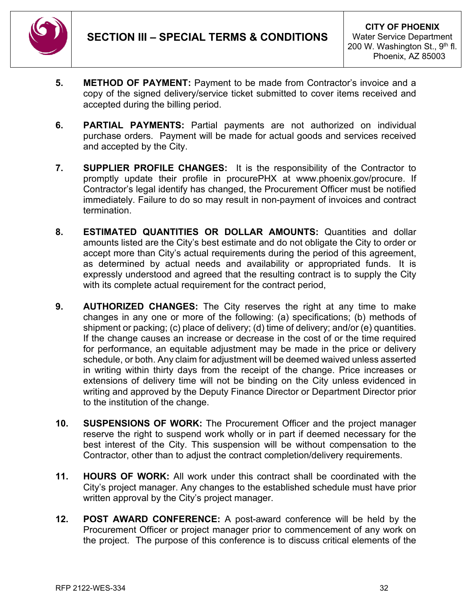

- **5. METHOD OF PAYMENT:** Payment to be made from Contractor's invoice and a copy of the signed delivery/service ticket submitted to cover items received and accepted during the billing period.
- **6. PARTIAL PAYMENTS:** Partial payments are not authorized on individual purchase orders. Payment will be made for actual goods and services received and accepted by the City.
- **7. SUPPLIER PROFILE CHANGES:** It is the responsibility of the Contractor to promptly update their profile in procurePHX at www.phoenix.gov/procure. If Contractor's legal identify has changed, the Procurement Officer must be notified immediately. Failure to do so may result in non-payment of invoices and contract termination.
- **8. ESTIMATED QUANTITIES OR DOLLAR AMOUNTS:** Quantities and dollar amounts listed are the City's best estimate and do not obligate the City to order or accept more than City's actual requirements during the period of this agreement, as determined by actual needs and availability or appropriated funds. It is expressly understood and agreed that the resulting contract is to supply the City with its complete actual requirement for the contract period,
- **9. AUTHORIZED CHANGES:** The City reserves the right at any time to make changes in any one or more of the following: (a) specifications; (b) methods of shipment or packing; (c) place of delivery; (d) time of delivery; and/or (e) quantities. If the change causes an increase or decrease in the cost of or the time required for performance, an equitable adjustment may be made in the price or delivery schedule, or both. Any claim for adjustment will be deemed waived unless asserted in writing within thirty days from the receipt of the change. Price increases or extensions of delivery time will not be binding on the City unless evidenced in writing and approved by the Deputy Finance Director or Department Director prior to the institution of the change.
- **10. SUSPENSIONS OF WORK:** The Procurement Officer and the project manager reserve the right to suspend work wholly or in part if deemed necessary for the best interest of the City. This suspension will be without compensation to the Contractor, other than to adjust the contract completion/delivery requirements.
- **11. HOURS OF WORK:** All work under this contract shall be coordinated with the City's project manager. Any changes to the established schedule must have prior written approval by the City's project manager.
- **12. POST AWARD CONFERENCE:** A post-award conference will be held by the Procurement Officer or project manager prior to commencement of any work on the project. The purpose of this conference is to discuss critical elements of the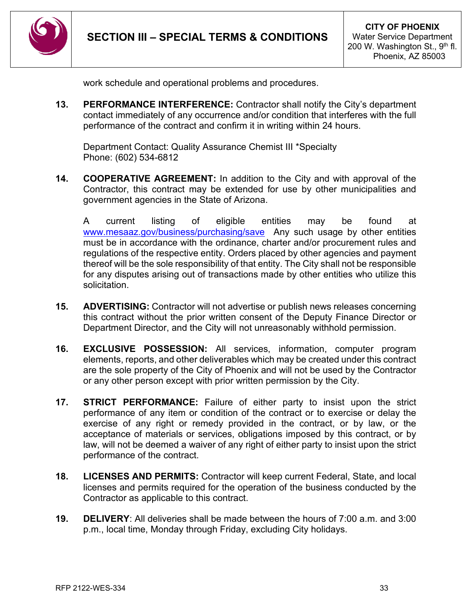

work schedule and operational problems and procedures.

**13. PERFORMANCE INTERFERENCE:** Contractor shall notify the City's department contact immediately of any occurrence and/or condition that interferes with the full performance of the contract and confirm it in writing within 24 hours.

Department Contact: Quality Assurance Chemist III \*Specialty Phone: (602) 534-6812

**14. COOPERATIVE AGREEMENT:** In addition to the City and with approval of the Contractor, this contract may be extended for use by other municipalities and government agencies in the State of Arizona.

A current listing of eligible entities may be found at [www.mesaaz.gov/business/purchasing/save](http://www.mesaaz.gov/business/purchasing/save) Any such usage by other entities must be in accordance with the ordinance, charter and/or procurement rules and regulations of the respective entity. Orders placed by other agencies and payment thereof will be the sole responsibility of that entity. The City shall not be responsible for any disputes arising out of transactions made by other entities who utilize this solicitation.

- **15. ADVERTISING:** Contractor will not advertise or publish news releases concerning this contract without the prior written consent of the Deputy Finance Director or Department Director, and the City will not unreasonably withhold permission.
- **16. EXCLUSIVE POSSESSION:** All services, information, computer program elements, reports, and other deliverables which may be created under this contract are the sole property of the City of Phoenix and will not be used by the Contractor or any other person except with prior written permission by the City.
- **17. STRICT PERFORMANCE:** Failure of either party to insist upon the strict performance of any item or condition of the contract or to exercise or delay the exercise of any right or remedy provided in the contract, or by law, or the acceptance of materials or services, obligations imposed by this contract, or by law, will not be deemed a waiver of any right of either party to insist upon the strict performance of the contract.
- **18. LICENSES AND PERMITS:** Contractor will keep current Federal, State, and local licenses and permits required for the operation of the business conducted by the Contractor as applicable to this contract.
- **19. DELIVERY**: All deliveries shall be made between the hours of 7:00 a.m. and 3:00 p.m., local time, Monday through Friday, excluding City holidays.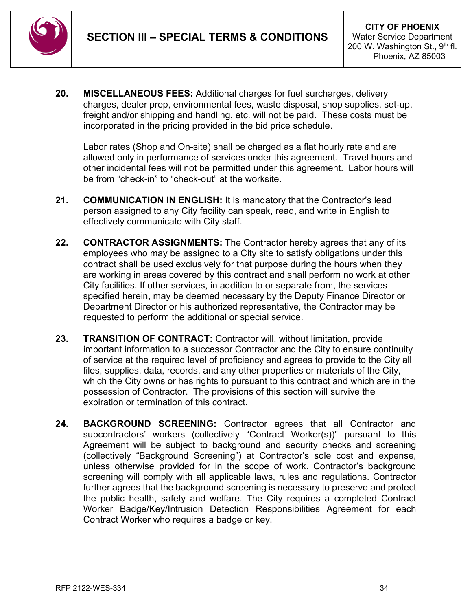

**20. MISCELLANEOUS FEES:** Additional charges for fuel surcharges, delivery charges, dealer prep, environmental fees, waste disposal, shop supplies, set-up, freight and/or shipping and handling, etc. will not be paid. These costs must be incorporated in the pricing provided in the bid price schedule.

Labor rates (Shop and On-site) shall be charged as a flat hourly rate and are allowed only in performance of services under this agreement. Travel hours and other incidental fees will not be permitted under this agreement. Labor hours will be from "check-in" to "check-out" at the worksite.

- **21. COMMUNICATION IN ENGLISH:** It is mandatory that the Contractor's lead person assigned to any City facility can speak, read, and write in English to effectively communicate with City staff.
- **22. CONTRACTOR ASSIGNMENTS:** The Contractor hereby agrees that any of its employees who may be assigned to a City site to satisfy obligations under this contract shall be used exclusively for that purpose during the hours when they are working in areas covered by this contract and shall perform no work at other City facilities. If other services, in addition to or separate from, the services specified herein, may be deemed necessary by the Deputy Finance Director or Department Director or his authorized representative, the Contractor may be requested to perform the additional or special service.
- **23. TRANSITION OF CONTRACT:** Contractor will, without limitation, provide important information to a successor Contractor and the City to ensure continuity of service at the required level of proficiency and agrees to provide to the City all files, supplies, data, records, and any other properties or materials of the City, which the City owns or has rights to pursuant to this contract and which are in the possession of Contractor. The provisions of this section will survive the expiration or termination of this contract.
- **24. BACKGROUND SCREENING:** Contractor agrees that all Contractor and subcontractors' workers (collectively "Contract Worker(s))" pursuant to this Agreement will be subject to background and security checks and screening (collectively "Background Screening") at Contractor's sole cost and expense, unless otherwise provided for in the scope of work. Contractor's background screening will comply with all applicable laws, rules and regulations. Contractor further agrees that the background screening is necessary to preserve and protect the public health, safety and welfare. The City requires a completed Contract Worker Badge/Key/Intrusion Detection Responsibilities Agreement for each Contract Worker who requires a badge or key.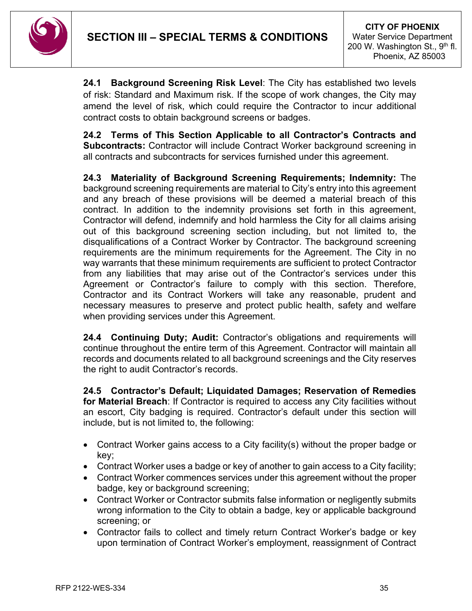

**24.1 Background Screening Risk Level**: The City has established two levels of risk: Standard and Maximum risk. If the scope of work changes, the City may amend the level of risk, which could require the Contractor to incur additional contract costs to obtain background screens or badges.

**24.2 Terms of This Section Applicable to all Contractor's Contracts and Subcontracts:** Contractor will include Contract Worker background screening in all contracts and subcontracts for services furnished under this agreement.

**24.3 Materiality of Background Screening Requirements; Indemnity:** The background screening requirements are material to City's entry into this agreement and any breach of these provisions will be deemed a material breach of this contract. In addition to the indemnity provisions set forth in this agreement, Contractor will defend, indemnify and hold harmless the City for all claims arising out of this background screening section including, but not limited to, the disqualifications of a Contract Worker by Contractor. The background screening requirements are the minimum requirements for the Agreement. The City in no way warrants that these minimum requirements are sufficient to protect Contractor from any liabilities that may arise out of the Contractor's services under this Agreement or Contractor's failure to comply with this section. Therefore, Contractor and its Contract Workers will take any reasonable, prudent and necessary measures to preserve and protect public health, safety and welfare when providing services under this Agreement.

**24.4 Continuing Duty; Audit:** Contractor's obligations and requirements will continue throughout the entire term of this Agreement. Contractor will maintain all records and documents related to all background screenings and the City reserves the right to audit Contractor's records.

**24.5 Contractor's Default; Liquidated Damages; Reservation of Remedies for Material Breach**: If Contractor is required to access any City facilities without an escort, City badging is required. Contractor's default under this section will include, but is not limited to, the following:

- Contract Worker gains access to a City facility(s) without the proper badge or key;
- Contract Worker uses a badge or key of another to gain access to a City facility;
- Contract Worker commences services under this agreement without the proper badge, key or background screening;
- Contract Worker or Contractor submits false information or negligently submits wrong information to the City to obtain a badge, key or applicable background screening; or
- Contractor fails to collect and timely return Contract Worker's badge or key upon termination of Contract Worker's employment, reassignment of Contract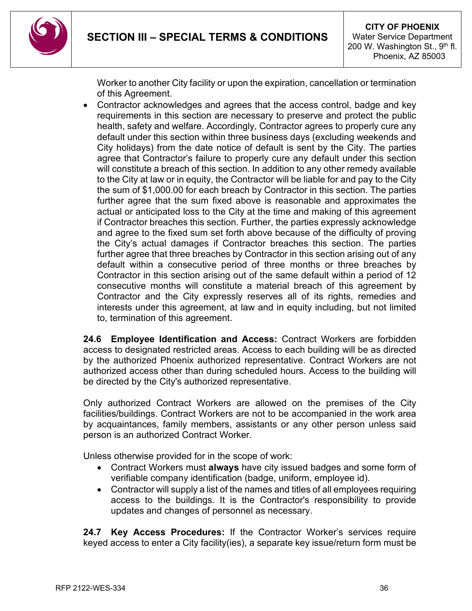

Worker to another City facility or upon the expiration, cancellation or termination of this Agreement.

• Contractor acknowledges and agrees that the access control, badge and key requirements in this section are necessary to preserve and protect the public health, safety and welfare. Accordingly, Contractor agrees to properly cure any default under this section within three business days (excluding weekends and City holidays) from the date notice of default is sent by the City. The parties agree that Contractor's failure to properly cure any default under this section will constitute a breach of this section. In addition to any other remedy available to the City at law or in equity, the Contractor will be liable for and pay to the City the sum of \$1,000.00 for each breach by Contractor in this section. The parties further agree that the sum fixed above is reasonable and approximates the actual or anticipated loss to the City at the time and making of this agreement if Contractor breaches this section. Further, the parties expressly acknowledge and agree to the fixed sum set forth above because of the difficulty of proving the City's actual damages if Contractor breaches this section. The parties further agree that three breaches by Contractor in this section arising out of any default within a consecutive period of three months or three breaches by Contractor in this section arising out of the same default within a period of 12 consecutive months will constitute a material breach of this agreement by Contractor and the City expressly reserves all of its rights, remedies and interests under this agreement, at law and in equity including, but not limited to, termination of this agreement.

**24.6 Employee Identification and Access:** Contract Workers are forbidden access to designated restricted areas. Access to each building will be as directed by the authorized Phoenix authorized representative. Contract Workers are not authorized access other than during scheduled hours. Access to the building will be directed by the City's authorized representative.

Only authorized Contract Workers are allowed on the premises of the City facilities/buildings. Contract Workers are not to be accompanied in the work area by acquaintances, family members, assistants or any other person unless said person is an authorized Contract Worker.

Unless otherwise provided for in the scope of work:

- Contract Workers must **always** have city issued badges and some form of verifiable company identification (badge, uniform, employee id).
- Contractor will supply a list of the names and titles of all employees requiring access to the buildings. It is the Contractor's responsibility to provide updates and changes of personnel as necessary.

**24.7 Key Access Procedures:** If the Contractor Worker's services require keyed access to enter a City facility(ies), a separate key issue/return form must be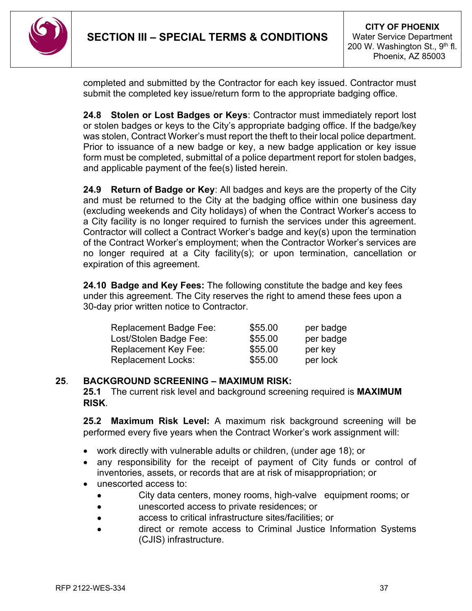

completed and submitted by the Contractor for each key issued. Contractor must submit the completed key issue/return form to the appropriate badging office.

**24.8 Stolen or Lost Badges or Keys**: Contractor must immediately report lost or stolen badges or keys to the City's appropriate badging office. If the badge/key was stolen, Contract Worker's must report the theft to their local police department. Prior to issuance of a new badge or key, a new badge application or key issue form must be completed, submittal of a police department report for stolen badges, and applicable payment of the fee(s) listed herein.

**24.9 Return of Badge or Key**: All badges and keys are the property of the City and must be returned to the City at the badging office within one business day (excluding weekends and City holidays) of when the Contract Worker's access to a City facility is no longer required to furnish the services under this agreement. Contractor will collect a Contract Worker's badge and key(s) upon the termination of the Contract Worker's employment; when the Contractor Worker's services are no longer required at a City facility(s); or upon termination, cancellation or expiration of this agreement.

**24.10 Badge and Key Fees:** The following constitute the badge and key fees under this agreement. The City reserves the right to amend these fees upon a 30-day prior written notice to Contractor.

| <b>Replacement Badge Fee:</b> | \$55.00 | per badge |
|-------------------------------|---------|-----------|
| Lost/Stolen Badge Fee:        | \$55.00 | per badge |
| Replacement Key Fee:          | \$55.00 | per key   |
| <b>Replacement Locks:</b>     | \$55.00 | per lock  |

### **25**. **BACKGROUND SCREENING – MAXIMUM RISK:**

**25.1** The current risk level and background screening required is **MAXIMUM RISK**.

**25.2 Maximum Risk Level:** A maximum risk background screening will be performed every five years when the Contract Worker's work assignment will:

- work directly with vulnerable adults or children, (under age 18); or
- any responsibility for the receipt of payment of City funds or control of inventories, assets, or records that are at risk of misappropriation; or
- unescorted access to:
	- City data centers, money rooms, high-valve equipment rooms; or
	- unescorted access to private residences; or
	- access to critical infrastructure sites/facilities; or
	- direct or remote access to Criminal Justice Information Systems (CJIS) infrastructure.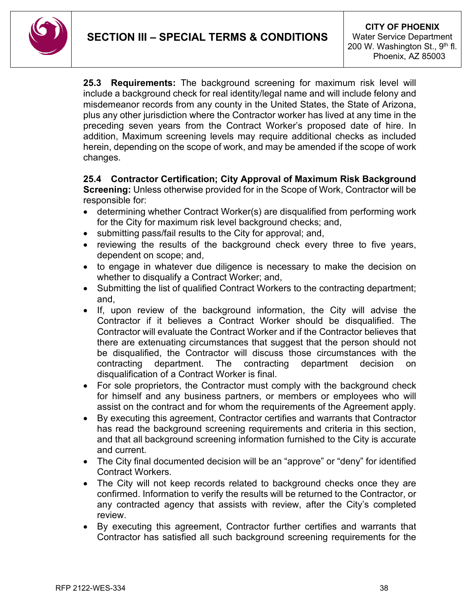**25.3 Requirements:** The background screening for maximum risk level will include a background check for real identity/legal name and will include felony and misdemeanor records from any county in the United States, the State of Arizona, plus any other jurisdiction where the Contractor worker has lived at any time in the preceding seven years from the Contract Worker's proposed date of hire. In addition, Maximum screening levels may require additional checks as included herein, depending on the scope of work, and may be amended if the scope of work changes.

#### **25.4 Contractor Certification; City Approval of Maximum Risk Background**

**Screening:** Unless otherwise provided for in the Scope of Work, Contractor will be responsible for:

- determining whether Contract Worker(s) are disqualified from performing work for the City for maximum risk level background checks; and,
- submitting pass/fail results to the City for approval; and,
- reviewing the results of the background check every three to five years, dependent on scope; and,
- to engage in whatever due diligence is necessary to make the decision on whether to disqualify a Contract Worker; and,
- Submitting the list of qualified Contract Workers to the contracting department; and,
- If, upon review of the background information, the City will advise the Contractor if it believes a Contract Worker should be disqualified. The Contractor will evaluate the Contract Worker and if the Contractor believes that there are extenuating circumstances that suggest that the person should not be disqualified, the Contractor will discuss those circumstances with the contracting department. The contracting department decision on disqualification of a Contract Worker is final.
- For sole proprietors, the Contractor must comply with the background check for himself and any business partners, or members or employees who will assist on the contract and for whom the requirements of the Agreement apply.
- By executing this agreement, Contractor certifies and warrants that Contractor has read the background screening requirements and criteria in this section, and that all background screening information furnished to the City is accurate and current.
- The City final documented decision will be an "approve" or "deny" for identified Contract Workers.
- The City will not keep records related to background checks once they are confirmed. Information to verify the results will be returned to the Contractor, or any contracted agency that assists with review, after the City's completed review.
- By executing this agreement, Contractor further certifies and warrants that Contractor has satisfied all such background screening requirements for the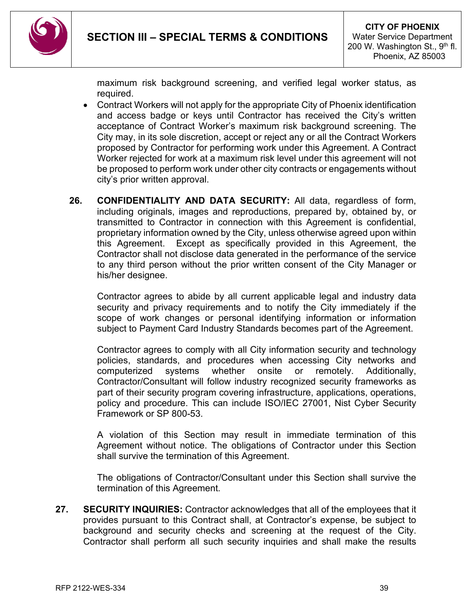

maximum risk background screening, and verified legal worker status, as required.

- Contract Workers will not apply for the appropriate City of Phoenix identification and access badge or keys until Contractor has received the City's written acceptance of Contract Worker's maximum risk background screening. The City may, in its sole discretion, accept or reject any or all the Contract Workers proposed by Contractor for performing work under this Agreement. A Contract Worker rejected for work at a maximum risk level under this agreement will not be proposed to perform work under other city contracts or engagements without city's prior written approval.
- **26. CONFIDENTIALITY AND DATA SECURITY:** All data, regardless of form, including originals, images and reproductions, prepared by, obtained by, or transmitted to Contractor in connection with this Agreement is confidential, proprietary information owned by the City, unless otherwise agreed upon within this Agreement. Except as specifically provided in this Agreement, the Contractor shall not disclose data generated in the performance of the service to any third person without the prior written consent of the City Manager or his/her designee.

Contractor agrees to abide by all current applicable legal and industry data security and privacy requirements and to notify the City immediately if the scope of work changes or personal identifying information or information subject to Payment Card Industry Standards becomes part of the Agreement.

Contractor agrees to comply with all City information security and technology policies, standards, and procedures when accessing City networks and computerized systems whether onsite or remotely. Additionally, Contractor/Consultant will follow industry recognized security frameworks as part of their security program covering infrastructure, applications, operations, policy and procedure. This can include ISO/IEC 27001, Nist Cyber Security Framework or SP 800-53.

A violation of this Section may result in immediate termination of this Agreement without notice. The obligations of Contractor under this Section shall survive the termination of this Agreement.

The obligations of Contractor/Consultant under this Section shall survive the termination of this Agreement.

**27. SECURITY INQUIRIES:** Contractor acknowledges that all of the employees that it provides pursuant to this Contract shall, at Contractor's expense, be subject to background and security checks and screening at the request of the City. Contractor shall perform all such security inquiries and shall make the results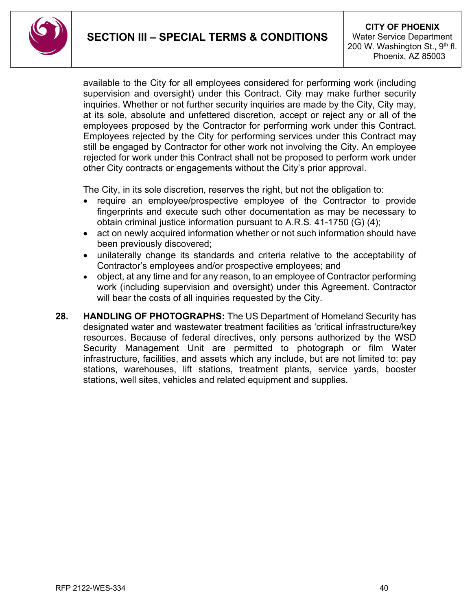available to the City for all employees considered for performing work (including supervision and oversight) under this Contract. City may make further security inquiries. Whether or not further security inquiries are made by the City, City may, at its sole, absolute and unfettered discretion, accept or reject any or all of the employees proposed by the Contractor for performing work under this Contract. Employees rejected by the City for performing services under this Contract may still be engaged by Contractor for other work not involving the City. An employee rejected for work under this Contract shall not be proposed to perform work under other City contracts or engagements without the City's prior approval.

The City, in its sole discretion, reserves the right, but not the obligation to:

- require an employee/prospective employee of the Contractor to provide fingerprints and execute such other documentation as may be necessary to obtain criminal justice information pursuant to A.R.S. 41-1750 (G) (4);
- act on newly acquired information whether or not such information should have been previously discovered;
- unilaterally change its standards and criteria relative to the acceptability of Contractor's employees and/or prospective employees; and
- object, at any time and for any reason, to an employee of Contractor performing work (including supervision and oversight) under this Agreement. Contractor will bear the costs of all inquiries requested by the City.
- <span id="page-39-0"></span>**28. HANDLING OF PHOTOGRAPHS:** The US Department of Homeland Security has designated water and wastewater treatment facilities as 'critical infrastructure/key resources. Because of federal directives, only persons authorized by the WSD Security Management Unit are permitted to photograph or film Water infrastructure, facilities, and assets which any include, but are not limited to: pay stations, warehouses, lift stations, treatment plants, service yards, booster stations, well sites, vehicles and related equipment and supplies.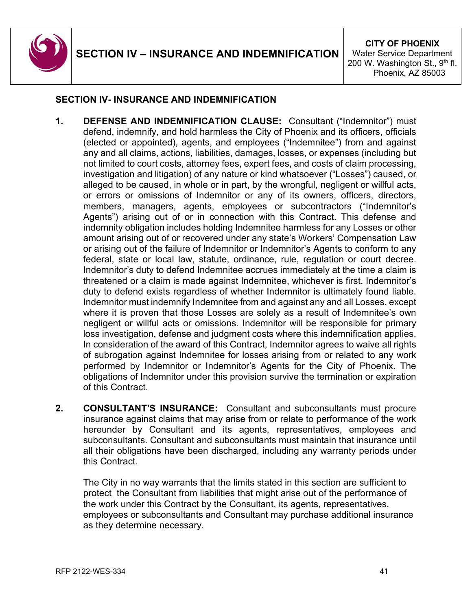

### **SECTION IV- INSURANCE AND INDEMNIFICATION**

- **1. DEFENSE AND INDEMNIFICATION CLAUSE:** Consultant ("Indemnitor") must defend, indemnify, and hold harmless the City of Phoenix and its officers, officials (elected or appointed), agents, and employees ("Indemnitee") from and against any and all claims, actions, liabilities, damages, losses, or expenses (including but not limited to court costs, attorney fees, expert fees, and costs of claim processing, investigation and litigation) of any nature or kind whatsoever ("Losses") caused, or alleged to be caused, in whole or in part, by the wrongful, negligent or willful acts, or errors or omissions of Indemnitor or any of its owners, officers, directors, members, managers, agents, employees or subcontractors ("Indemnitor's Agents") arising out of or in connection with this Contract. This defense and indemnity obligation includes holding Indemnitee harmless for any Losses or other amount arising out of or recovered under any state's Workers' Compensation Law or arising out of the failure of Indemnitor or Indemnitor's Agents to conform to any federal, state or local law, statute, ordinance, rule, regulation or court decree. Indemnitor's duty to defend Indemnitee accrues immediately at the time a claim is threatened or a claim is made against Indemnitee, whichever is first. Indemnitor's duty to defend exists regardless of whether Indemnitor is ultimately found liable. Indemnitor must indemnify Indemnitee from and against any and all Losses, except where it is proven that those Losses are solely as a result of Indemnitee's own negligent or willful acts or omissions. Indemnitor will be responsible for primary loss investigation, defense and judgment costs where this indemnification applies. In consideration of the award of this Contract, Indemnitor agrees to waive all rights of subrogation against Indemnitee for losses arising from or related to any work performed by Indemnitor or Indemnitor's Agents for the City of Phoenix. The obligations of Indemnitor under this provision survive the termination or expiration of this Contract.
- **2. CONSULTANT'S INSURANCE:** Consultant and subconsultants must procure insurance against claims that may arise from or relate to performance of the work hereunder by Consultant and its agents, representatives, employees and subconsultants. Consultant and subconsultants must maintain that insurance until all their obligations have been discharged, including any warranty periods under this Contract.

The City in no way warrants that the limits stated in this section are sufficient to protect the Consultant from liabilities that might arise out of the performance of the work under this Contract by the Consultant, its agents, representatives, employees or subconsultants and Consultant may purchase additional insurance as they determine necessary.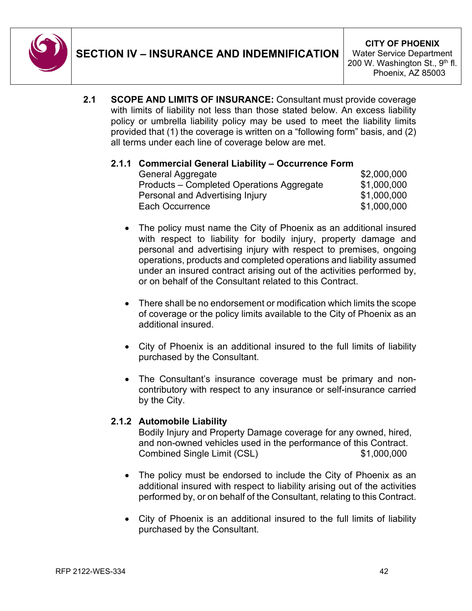

**2.1 SCOPE AND LIMITS OF INSURANCE:** Consultant must provide coverage with limits of liability not less than those stated below. An excess liability policy or umbrella liability policy may be used to meet the liability limits provided that (1) the coverage is written on a "following form" basis, and (2) all terms under each line of coverage below are met.

### **2.1.1 Commercial General Liability – Occurrence Form**

| General Aggregate                         | \$2,000,000 |
|-------------------------------------------|-------------|
| Products – Completed Operations Aggregate | \$1,000,000 |
| Personal and Advertising Injury           | \$1,000,000 |
| Each Occurrence                           | \$1,000,000 |

- The policy must name the City of Phoenix as an additional insured with respect to liability for bodily injury, property damage and personal and advertising injury with respect to premises, ongoing operations, products and completed operations and liability assumed under an insured contract arising out of the activities performed by, or on behalf of the Consultant related to this Contract.
- There shall be no endorsement or modification which limits the scope of coverage or the policy limits available to the City of Phoenix as an additional insured.
- City of Phoenix is an additional insured to the full limits of liability purchased by the Consultant.
- The Consultant's insurance coverage must be primary and noncontributory with respect to any insurance or self-insurance carried by the City.

### **2.1.2 Automobile Liability**

Bodily Injury and Property Damage coverage for any owned, hired, and non-owned vehicles used in the performance of this Contract. Combined Single Limit (CSL) \$1,000,000

- The policy must be endorsed to include the City of Phoenix as an additional insured with respect to liability arising out of the activities performed by, or on behalf of the Consultant, relating to this Contract.
- City of Phoenix is an additional insured to the full limits of liability purchased by the Consultant.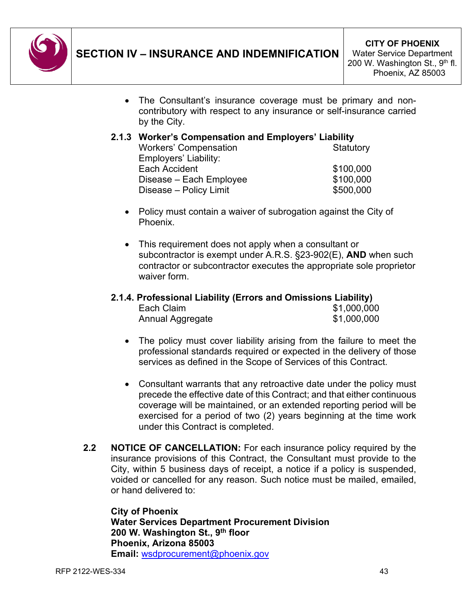

• The Consultant's insurance coverage must be primary and noncontributory with respect to any insurance or self-insurance carried by the City.

#### **2.1.3 Worker's Compensation and Employers' Liability**

| <b>Workers' Compensation</b> | Statutory |
|------------------------------|-----------|
| Employers' Liability:        |           |
| Each Accident                | \$100,000 |
| Disease – Each Employee      | \$100,000 |
| Disease - Policy Limit       | \$500,000 |
|                              |           |

- Policy must contain a waiver of subrogation against the City of Phoenix.
- This requirement does not apply when a consultant or subcontractor is exempt under A.R.S. §23-902(E), **AND** when such contractor or subcontractor executes the appropriate sole proprietor waiver form.

### **2.1.4. Professional Liability (Errors and Omissions Liability)**

| Each Claim       | \$1,000,000 |
|------------------|-------------|
| Annual Aggregate | \$1,000,000 |

- The policy must cover liability arising from the failure to meet the professional standards required or expected in the delivery of those services as defined in the Scope of Services of this Contract.
- Consultant warrants that any retroactive date under the policy must precede the effective date of this Contract; and that either continuous coverage will be maintained, or an extended reporting period will be exercised for a period of two (2) years beginning at the time work under this Contract is completed.
- **2.2 NOTICE OF CANCELLATION:** For each insurance policy required by the insurance provisions of this Contract, the Consultant must provide to the City, within 5 business days of receipt, a notice if a policy is suspended, voided or cancelled for any reason. Such notice must be mailed, emailed, or hand delivered to:

**City of Phoenix Water Services Department Procurement Division 200 W. Washington St., 9th floor Phoenix, Arizona 85003 Email:** [wsdprocurement@phoenix.gov](mailto:wsdprocurement@phoenix.gov)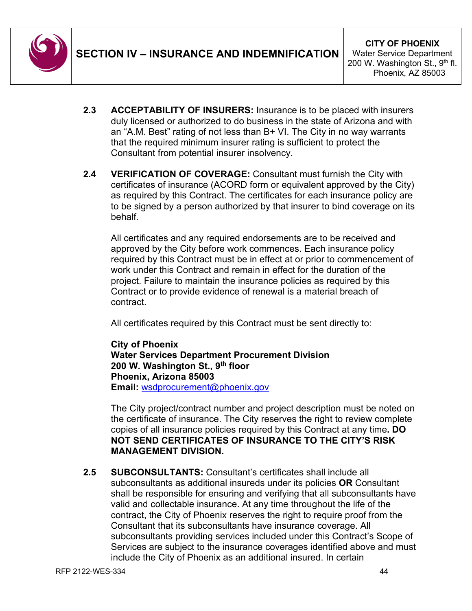

- **2.3 ACCEPTABILITY OF INSURERS:** Insurance is to be placed with insurers duly licensed or authorized to do business in the state of Arizona and with an "A.M. Best" rating of not less than B+ VI. The City in no way warrants that the required minimum insurer rating is sufficient to protect the Consultant from potential insurer insolvency.
- **2.4 VERIFICATION OF COVERAGE:** Consultant must furnish the City with certificates of insurance (ACORD form or equivalent approved by the City) as required by this Contract. The certificates for each insurance policy are to be signed by a person authorized by that insurer to bind coverage on its behalf*.*

All certificates and any required endorsements are to be received and approved by the City before work commences. Each insurance policy required by this Contract must be in effect at or prior to commencement of work under this Contract and remain in effect for the duration of the project. Failure to maintain the insurance policies as required by this Contract or to provide evidence of renewal is a material breach of contract.

All certificates required by this Contract must be sent directly to:

**City of Phoenix Water Services Department Procurement Division 200 W. Washington St., 9th floor Phoenix, Arizona 85003 Email:** [wsdprocurement@phoenix.gov](mailto:wsdprocurement@phoenix.gov) 

The City project/contract number and project description must be noted on the certificate of insurance. The City reserves the right to review complete copies of all insurance policies required by this Contract at any time**. DO NOT SEND CERTIFICATES OF INSURANCE TO THE CITY'S RISK MANAGEMENT DIVISION.**

**2.5 SUBCONSULTANTS:** Consultant's certificates shall include all subconsultants as additional insureds under its policies **OR** Consultant shall be responsible for ensuring and verifying that all subconsultants have valid and collectable insurance. At any time throughout the life of the contract, the City of Phoenix reserves the right to require proof from the Consultant that its subconsultants have insurance coverage. All subconsultants providing services included under this Contract's Scope of Services are subject to the insurance coverages identified above and must include the City of Phoenix as an additional insured. In certain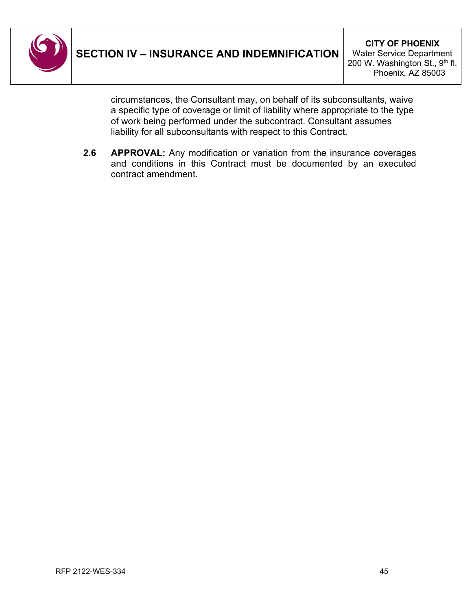

circumstances, the Consultant may, on behalf of its subconsultants, waive a specific type of coverage or limit of liability where appropriate to the type of work being performed under the subcontract. Consultant assumes liability for all subconsultants with respect to this Contract.

**2.6 APPROVAL:** Any modification or variation from the insurance coverages and conditions in this Contract must be documented by an executed contract amendment.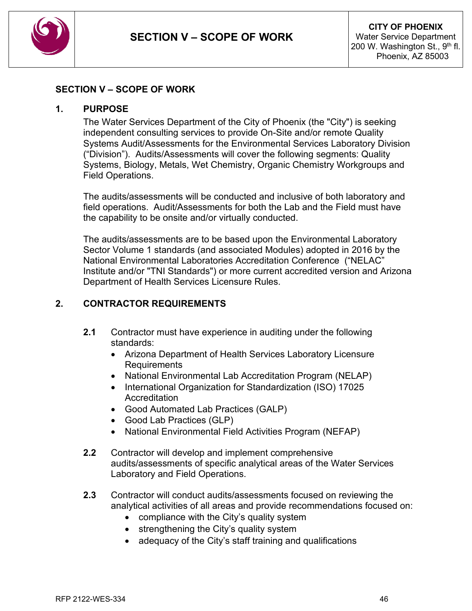

#### <span id="page-45-0"></span>**SECTION V – SCOPE OF WORK**

#### **1. PURPOSE**

The Water Services Department of the City of Phoenix (the "City") is seeking independent consulting services to provide On-Site and/or remote Quality Systems Audit/Assessments for the Environmental Services Laboratory Division ("Division"). Audits/Assessments will cover the following segments: Quality Systems, Biology, Metals, Wet Chemistry, Organic Chemistry Workgroups and Field Operations.

The audits/assessments will be conducted and inclusive of both laboratory and field operations. Audit/Assessments for both the Lab and the Field must have the capability to be onsite and/or virtually conducted.

The audits/assessments are to be based upon the Environmental Laboratory Sector Volume 1 standards (and associated Modules) adopted in 2016 by the National Environmental Laboratories Accreditation Conference ("NELAC" Institute and/or "TNI Standards") or more current accredited version and Arizona Department of Health Services Licensure Rules.

### **2. CONTRACTOR REQUIREMENTS**

- **2.1** Contractor must have experience in auditing under the following standards:
	- Arizona Department of Health Services Laboratory Licensure **Requirements**
	- National Environmental Lab Accreditation Program (NELAP)
	- International Organization for Standardization (ISO) 17025 **Accreditation**
	- Good Automated Lab Practices (GALP)
	- Good Lab Practices (GLP)
	- National Environmental Field Activities Program (NEFAP)
- **2.2** Contractor will develop and implement comprehensive audits/assessments of specific analytical areas of the Water Services Laboratory and Field Operations.
- **2.3** Contractor will conduct audits/assessments focused on reviewing the analytical activities of all areas and provide recommendations focused on:
	- compliance with the City's quality system
	- strengthening the City's quality system
	- adequacy of the City's staff training and qualifications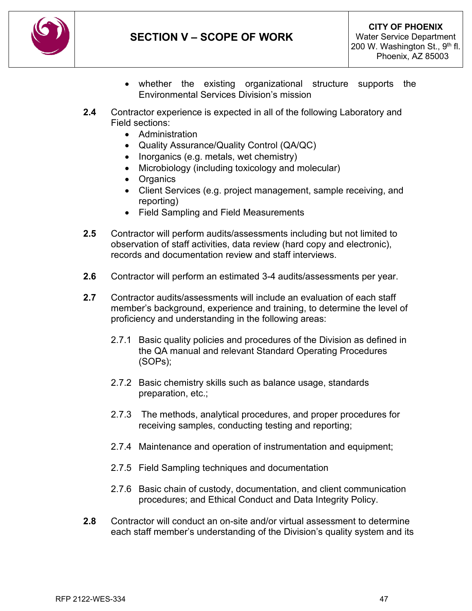

- whether the existing organizational structure supports the Environmental Services Division's mission
- **2.4** Contractor experience is expected in all of the following Laboratory and Field sections:
	- Administration
	- Quality Assurance/Quality Control (QA/QC)
	- Inorganics (e.g. metals, wet chemistry)
	- Microbiology (including toxicology and molecular)
	- Organics
	- Client Services (e.g. project management, sample receiving, and reporting)
	- Field Sampling and Field Measurements
- **2.5** Contractor will perform audits/assessments including but not limited to observation of staff activities, data review (hard copy and electronic), records and documentation review and staff interviews.
- **2.6** Contractor will perform an estimated 3-4 audits/assessments per year.
- **2.7** Contractor audits/assessments will include an evaluation of each staff member's background, experience and training, to determine the level of proficiency and understanding in the following areas:
	- 2.7.1 Basic quality policies and procedures of the Division as defined in the QA manual and relevant Standard Operating Procedures (SOPs);
	- 2.7.2 Basic chemistry skills such as balance usage, standards preparation, etc.;
	- 2.7.3 The methods, analytical procedures, and proper procedures for receiving samples, conducting testing and reporting;
	- 2.7.4 Maintenance and operation of instrumentation and equipment;
	- 2.7.5 Field Sampling techniques and documentation
	- 2.7.6 Basic chain of custody, documentation, and client communication procedures; and Ethical Conduct and Data Integrity Policy.
- **2.8** Contractor will conduct an on-site and/or virtual assessment to determine each staff member's understanding of the Division's quality system and its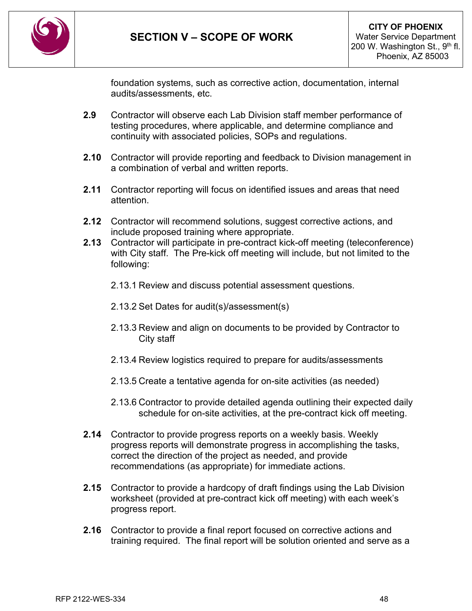

foundation systems, such as corrective action, documentation, internal audits/assessments, etc.

- **2.9** Contractor will observe each Lab Division staff member performance of testing procedures, where applicable, and determine compliance and continuity with associated policies, SOPs and regulations.
- **2.10** Contractor will provide reporting and feedback to Division management in a combination of verbal and written reports.
- **2.11** Contractor reporting will focus on identified issues and areas that need attention.
- **2.12** Contractor will recommend solutions, suggest corrective actions, and include proposed training where appropriate.
- **2.13** Contractor will participate in pre-contract kick-off meeting (teleconference) with City staff. The Pre-kick off meeting will include, but not limited to the following:
	- 2.13.1 Review and discuss potential assessment questions.
	- 2.13.2 Set Dates for audit(s)/assessment(s)
	- 2.13.3 Review and align on documents to be provided by Contractor to City staff
	- 2.13.4 Review logistics required to prepare for audits/assessments
	- 2.13.5 Create a tentative agenda for on-site activities (as needed)
	- 2.13.6 Contractor to provide detailed agenda outlining their expected daily schedule for on-site activities, at the pre-contract kick off meeting.
- **2.14** Contractor to provide progress reports on a weekly basis. Weekly progress reports will demonstrate progress in accomplishing the tasks, correct the direction of the project as needed, and provide recommendations (as appropriate) for immediate actions.
- **2.15** Contractor to provide a hardcopy of draft findings using the Lab Division worksheet (provided at pre-contract kick off meeting) with each week's progress report.
- **2.16** Contractor to provide a final report focused on corrective actions and training required. The final report will be solution oriented and serve as a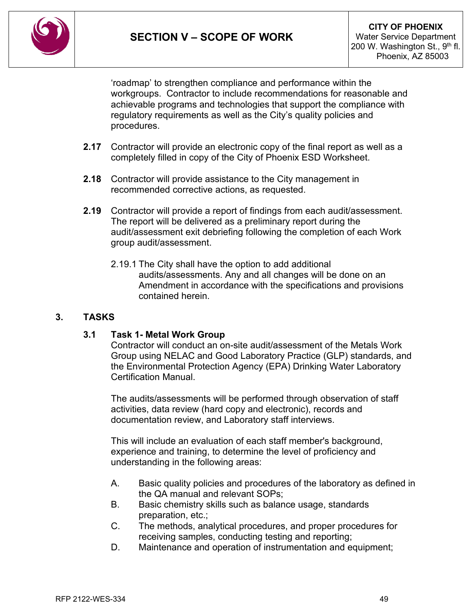

'roadmap' to strengthen compliance and performance within the workgroups. Contractor to include recommendations for reasonable and achievable programs and technologies that support the compliance with regulatory requirements as well as the City's quality policies and procedures.

- **2.17** Contractor will provide an electronic copy of the final report as well as a completely filled in copy of the City of Phoenix ESD Worksheet.
- **2.18** Contractor will provide assistance to the City management in recommended corrective actions, as requested.
- **2.19** Contractor will provide a report of findings from each audit/assessment. The report will be delivered as a preliminary report during the audit/assessment exit debriefing following the completion of each Work group audit/assessment.
	- 2.19.1 The City shall have the option to add additional audits/assessments. Any and all changes will be done on an Amendment in accordance with the specifications and provisions contained herein.

### **3. TASKS**

#### **3.1 Task 1- Metal Work Group**

Contractor will conduct an on-site audit/assessment of the Metals Work Group using NELAC and Good Laboratory Practice (GLP) standards, and the Environmental Protection Agency (EPA) Drinking Water Laboratory Certification Manual.

The audits/assessments will be performed through observation of staff activities, data review (hard copy and electronic), records and documentation review, and Laboratory staff interviews.

This will include an evaluation of each staff member's background, experience and training, to determine the level of proficiency and understanding in the following areas:

- A. Basic quality policies and procedures of the laboratory as defined in the QA manual and relevant SOPs;
- B. Basic chemistry skills such as balance usage, standards preparation, etc.;
- C. The methods, analytical procedures, and proper procedures for receiving samples, conducting testing and reporting;
- D. Maintenance and operation of instrumentation and equipment;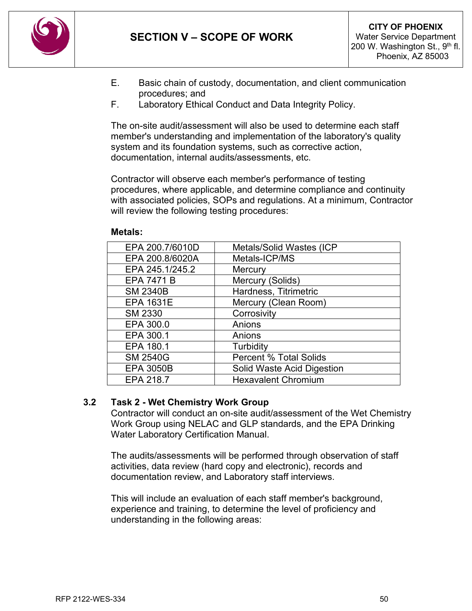

- E. Basic chain of custody, documentation, and client communication procedures; and
- F. Laboratory Ethical Conduct and Data Integrity Policy.

The on-site audit/assessment will also be used to determine each staff member's understanding and implementation of the laboratory's quality system and its foundation systems, such as corrective action, documentation, internal audits/assessments, etc.

Contractor will observe each member's performance of testing procedures, where applicable, and determine compliance and continuity with associated policies, SOPs and regulations. At a minimum, Contractor will review the following testing procedures:

| EPA 200.7/6010D   | <b>Metals/Solid Wastes (ICP</b> |
|-------------------|---------------------------------|
| EPA 200.8/6020A   | Metals-ICP/MS                   |
| EPA 245.1/245.2   | Mercury                         |
| <b>EPA 7471 B</b> | Mercury (Solids)                |
| <b>SM 2340B</b>   | Hardness, Titrimetric           |
| <b>EPA 1631E</b>  | Mercury (Clean Room)            |
| <b>SM 2330</b>    | Corrosivity                     |
| EPA 300.0         | Anions                          |
| EPA 300.1         | Anions                          |
| EPA 180.1         | Turbidity                       |
| <b>SM 2540G</b>   | <b>Percent % Total Solids</b>   |
| <b>EPA 3050B</b>  | Solid Waste Acid Digestion      |
| EPA 218.7         | <b>Hexavalent Chromium</b>      |
|                   |                                 |

#### **Metals:**

#### **3.2 Task 2 - Wet Chemistry Work Group**

Contractor will conduct an on-site audit/assessment of the Wet Chemistry Work Group using NELAC and GLP standards, and the EPA Drinking Water Laboratory Certification Manual.

The audits/assessments will be performed through observation of staff activities, data review (hard copy and electronic), records and documentation review, and Laboratory staff interviews.

This will include an evaluation of each staff member's background, experience and training, to determine the level of proficiency and understanding in the following areas: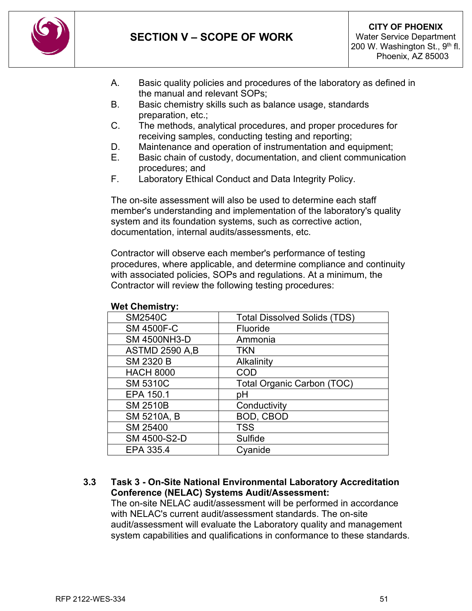

- A. Basic quality policies and procedures of the laboratory as defined in the manual and relevant SOPs;
- B. Basic chemistry skills such as balance usage, standards preparation, etc.;
- C. The methods, analytical procedures, and proper procedures for receiving samples, conducting testing and reporting;
- D. Maintenance and operation of instrumentation and equipment;
- E. Basic chain of custody, documentation, and client communication procedures; and
- F. Laboratory Ethical Conduct and Data Integrity Policy.

The on-site assessment will also be used to determine each staff member's understanding and implementation of the laboratory's quality system and its foundation systems, such as corrective action, documentation, internal audits/assessments, etc.

Contractor will observe each member's performance of testing procedures, where applicable, and determine compliance and continuity with associated policies, SOPs and regulations. At a minimum, the Contractor will review the following testing procedures:

| <b>Total Dissolved Solids (TDS)</b> |
|-------------------------------------|
| <b>Fluoride</b>                     |
| Ammonia                             |
| TKN                                 |
| Alkalinity                          |
| COD                                 |
| Total Organic Carbon (TOC)          |
| рH                                  |
| Conductivity                        |
| <b>BOD, CBOD</b>                    |
| <b>TSS</b>                          |
| Sulfide                             |
| Cvanide                             |
|                                     |

#### **Wet Chemistry:**

### **3.3 Task 3 - On-Site National Environmental Laboratory Accreditation Conference (NELAC) Systems Audit/Assessment:**

The on-site NELAC audit/assessment will be performed in accordance with NELAC's current audit/assessment standards. The on-site audit/assessment will evaluate the Laboratory quality and management system capabilities and qualifications in conformance to these standards.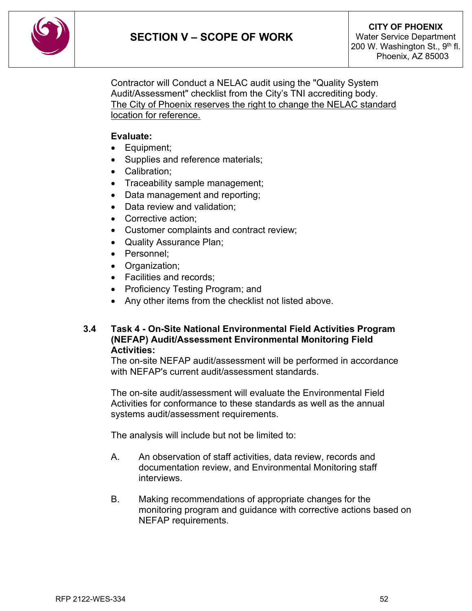

Contractor will Conduct a NELAC audit using the "Quality System Audit/Assessment" checklist from the City's TNI accrediting body. The City of Phoenix reserves the right to change the NELAC standard location for reference.

#### **Evaluate:**

- Equipment;
- Supplies and reference materials;
- Calibration;
- Traceability sample management;
- Data management and reporting;
- Data review and validation;
- Corrective action:
- Customer complaints and contract review;
- Quality Assurance Plan;
- Personnel;
- Organization;
- Facilities and records;
- Proficiency Testing Program; and
- Any other items from the checklist not listed above.

#### **3.4 Task 4 - On-Site National Environmental Field Activities Program (NEFAP) Audit/Assessment Environmental Monitoring Field Activities:**

The on-site NEFAP audit/assessment will be performed in accordance with NEFAP's current audit/assessment standards.

The on-site audit/assessment will evaluate the Environmental Field Activities for conformance to these standards as well as the annual systems audit/assessment requirements.

The analysis will include but not be limited to:

- A. An observation of staff activities, data review, records and documentation review, and Environmental Monitoring staff interviews.
- B. Making recommendations of appropriate changes for the monitoring program and guidance with corrective actions based on NEFAP requirements.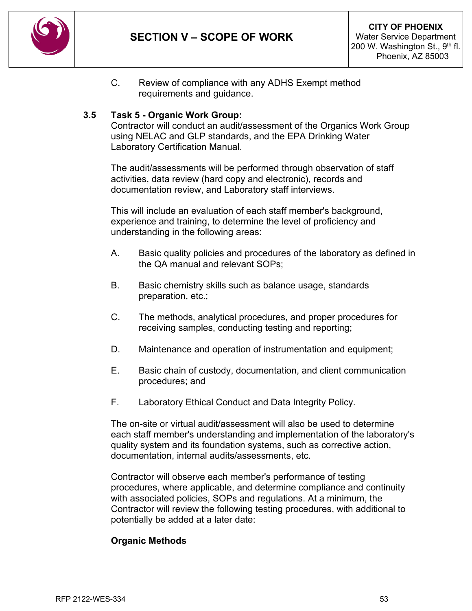

C. Review of compliance with any ADHS Exempt method requirements and guidance.

### **3.5 Task 5 - Organic Work Group:**

Contractor will conduct an audit/assessment of the Organics Work Group using NELAC and GLP standards, and the EPA Drinking Water Laboratory Certification Manual.

The audit/assessments will be performed through observation of staff activities, data review (hard copy and electronic), records and documentation review, and Laboratory staff interviews.

This will include an evaluation of each staff member's background, experience and training, to determine the level of proficiency and understanding in the following areas:

- A. Basic quality policies and procedures of the laboratory as defined in the QA manual and relevant SOPs;
- B. Basic chemistry skills such as balance usage, standards preparation, etc.;
- C. The methods, analytical procedures, and proper procedures for receiving samples, conducting testing and reporting;
- D. Maintenance and operation of instrumentation and equipment;
- E. Basic chain of custody, documentation, and client communication procedures; and
- F. Laboratory Ethical Conduct and Data Integrity Policy.

The on-site or virtual audit/assessment will also be used to determine each staff member's understanding and implementation of the laboratory's quality system and its foundation systems, such as corrective action, documentation, internal audits/assessments, etc.

Contractor will observe each member's performance of testing procedures, where applicable, and determine compliance and continuity with associated policies, SOPs and regulations. At a minimum, the Contractor will review the following testing procedures, with additional to potentially be added at a later date:

#### **Organic Methods**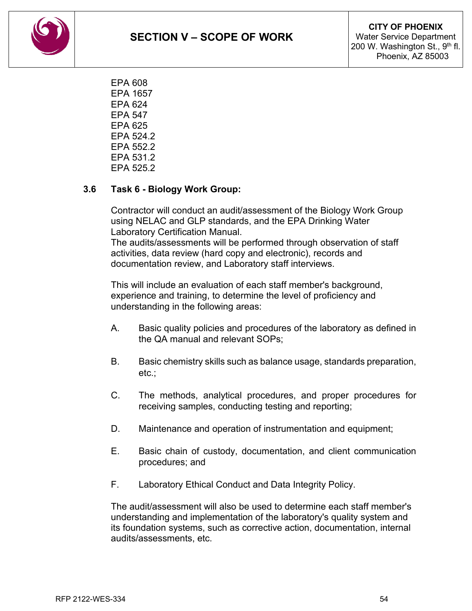**SECTION V – SCOPE OF WORK**



EPA 608 EPA 1657 EPA 624 EPA 547 EPA 625 EPA 524.2 EPA 552.2 EPA 531.2 EPA 525.2

### **3.6 Task 6 - Biology Work Group:**

Contractor will conduct an audit/assessment of the Biology Work Group using NELAC and GLP standards, and the EPA Drinking Water Laboratory Certification Manual.

The audits/assessments will be performed through observation of staff activities, data review (hard copy and electronic), records and documentation review, and Laboratory staff interviews.

This will include an evaluation of each staff member's background, experience and training, to determine the level of proficiency and understanding in the following areas:

- A. Basic quality policies and procedures of the laboratory as defined in the QA manual and relevant SOPs;
- B. Basic chemistry skills such as balance usage, standards preparation, etc.;
- C. The methods, analytical procedures, and proper procedures for receiving samples, conducting testing and reporting;
- D. Maintenance and operation of instrumentation and equipment;
- E. Basic chain of custody, documentation, and client communication procedures; and
- F. Laboratory Ethical Conduct and Data Integrity Policy.

The audit/assessment will also be used to determine each staff member's understanding and implementation of the laboratory's quality system and its foundation systems, such as corrective action, documentation, internal audits/assessments, etc.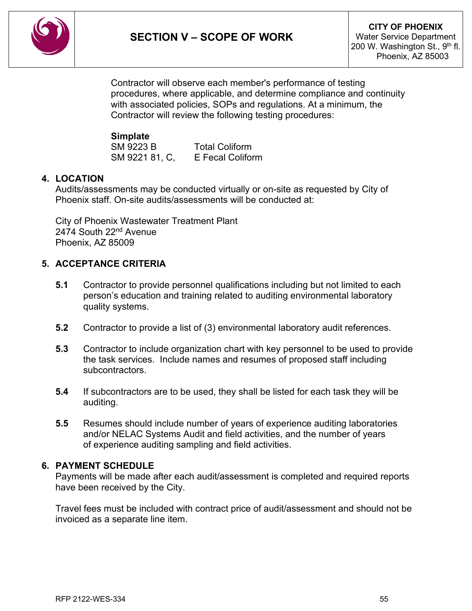

Contractor will observe each member's performance of testing procedures, where applicable, and determine compliance and continuity with associated policies, SOPs and regulations. At a minimum, the Contractor will review the following testing procedures:

#### **Simplate**

SM 9223 B Total Coliform SM 9221 81, C, E Fecal Coliform

### **4. LOCATION**

Audits/assessments may be conducted virtually or on-site as requested by City of Phoenix staff. On-site audits/assessments will be conducted at:

City of Phoenix Wastewater Treatment Plant 2474 South 22<sup>nd</sup> Avenue Phoenix, AZ 85009

### **5. ACCEPTANCE CRITERIA**

- **5.1** Contractor to provide personnel qualifications including but not limited to each person's education and training related to auditing environmental laboratory quality systems.
- **5.2** Contractor to provide a list of (3) environmental laboratory audit references.
- **5.3** Contractor to include organization chart with key personnel to be used to provide the task services. Include names and resumes of proposed staff including subcontractors.
- **5.4** If subcontractors are to be used, they shall be listed for each task they will be auditing.
- **5.5** Resumes should include number of years of experience auditing laboratories and/or NELAC Systems Audit and field activities, and the number of years of experience auditing sampling and field activities.

### **6. PAYMENT SCHEDULE**

Payments will be made after each audit/assessment is completed and required reports have been received by the City.

Travel fees must be included with contract price of audit/assessment and should not be invoiced as a separate line item.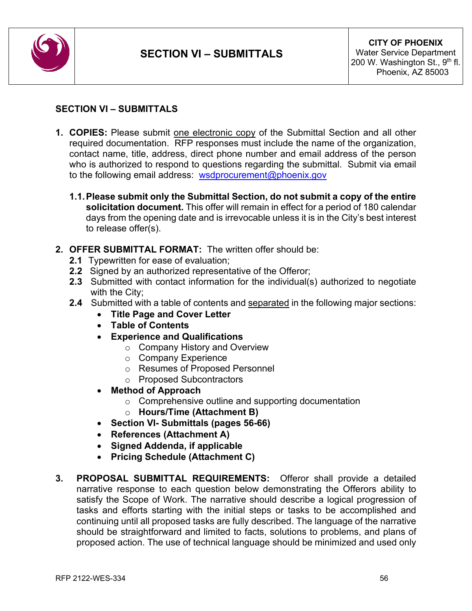

### <span id="page-55-0"></span>**SECTION VI – SUBMITTALS**

- **1. COPIES:** Please submit one electronic copy of the Submittal Section and all other required documentation. RFP responses must include the name of the organization, contact name, title, address, direct phone number and email address of the person who is authorized to respond to questions regarding the submittal. Submit via email to the following email address: [wsdprocurement@phoenix.gov](mailto:wsdprocurement@phoenix.gov)
	- **1.1.Please submit only the Submittal Section, do not submit a copy of the entire solicitation document.** This offer will remain in effect for a period of 180 calendar days from the opening date and is irrevocable unless it is in the City's best interest to release offer(s).
- **2. OFFER SUBMITTAL FORMAT:** The written offer should be:
	- **2.1** Typewritten for ease of evaluation;
	- **2.2** Signed by an authorized representative of the Offeror;
	- **2.3** Submitted with contact information for the individual(s) authorized to negotiate with the City;
	- **2.4** Submitted with a table of contents and separated in the following major sections:
		- **Title Page and Cover Letter**
		- **Table of Contents**
		- **Experience and Qualifications**
			- o Company History and Overview
			- o Company Experience
			- o Resumes of Proposed Personnel
			- o Proposed Subcontractors
		- **Method of Approach**
			- o Comprehensive outline and supporting documentation
			- o **Hours/Time (Attachment B)**
		- **Section VI- Submittals (pages 56-66)**
		- **References (Attachment A)**
		- **Signed Addenda, if applicable**
		- **Pricing Schedule (Attachment C)**
- **3. PROPOSAL SUBMITTAL REQUIREMENTS:** Offeror shall provide a detailed narrative response to each question below demonstrating the Offerors ability to satisfy the Scope of Work. The narrative should describe a logical progression of tasks and efforts starting with the initial steps or tasks to be accomplished and continuing until all proposed tasks are fully described. The language of the narrative should be straightforward and limited to facts, solutions to problems, and plans of proposed action. The use of technical language should be minimized and used only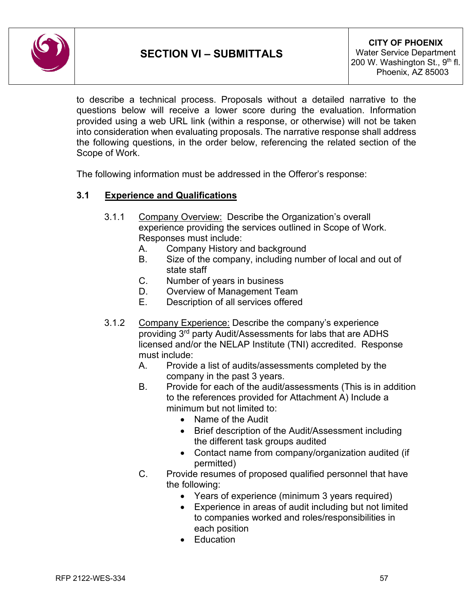

to describe a technical process. Proposals without a detailed narrative to the questions below will receive a lower score during the evaluation. Information provided using a web URL link (within a response, or otherwise) will not be taken into consideration when evaluating proposals. The narrative response shall address the following questions, in the order below, referencing the related section of the Scope of Work.

The following information must be addressed in the Offeror's response:

#### **3.1 Experience and Qualifications**

- 3.1.1 Company Overview: Describe the Organization's overall experience providing the services outlined in Scope of Work. Responses must include:
	- A. Company History and background
	- B. Size of the company, including number of local and out of state staff
	- C. Number of years in business
	- D. Overview of Management Team
	- E. Description of all services offered
- 3.1.2 Company Experience: Describe the company's experience providing 3rd party Audit/Assessments for labs that are ADHS licensed and/or the NELAP Institute (TNI) accredited. Response must include:
	- A. Provide a list of audits/assessments completed by the company in the past 3 years.
	- B. Provide for each of the audit/assessments (This is in addition to the references provided for Attachment A) Include a minimum but not limited to:
		- Name of the Audit
		- Brief description of the Audit/Assessment including the different task groups audited
		- Contact name from company/organization audited (if permitted)
	- C. Provide resumes of proposed qualified personnel that have the following:
		- Years of experience (minimum 3 years required)
		- Experience in areas of audit including but not limited to companies worked and roles/responsibilities in each position
		- Education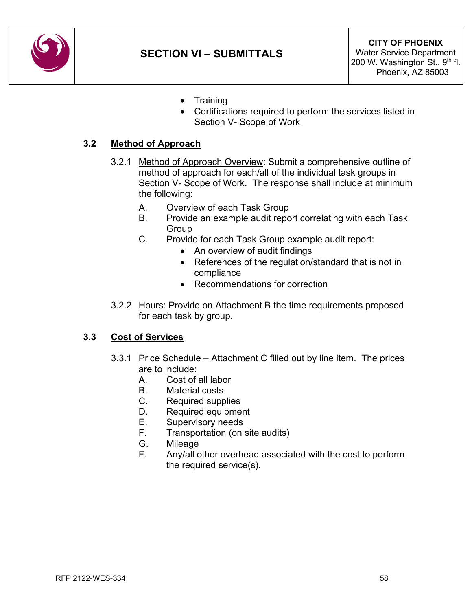

- Training
- Certifications required to perform the services listed in Section V- Scope of Work

### **3.2 Method of Approach**

- 3.2.1 Method of Approach Overview: Submit a comprehensive outline of method of approach for each/all of the individual task groups in Section V- Scope of Work. The response shall include at minimum the following:
	- A. Overview of each Task Group
	- B. Provide an example audit report correlating with each Task Group
	- C. Provide for each Task Group example audit report:
		- An overview of audit findings
		- References of the regulation/standard that is not in compliance
		- Recommendations for correction
- 3.2.2 Hours: Provide on Attachment B the time requirements proposed for each task by group.

### **3.3 Cost of Services**

- 3.3.1 Price Schedule Attachment C filled out by line item. The prices are to include:
	- A. Cost of all labor
	- B. Material costs
	- C. Required supplies
	- D. Required equipment
	- E. Supervisory needs
	- F. Transportation (on site audits)
	- G. Mileage
	- F. Any/all other overhead associated with the cost to perform the required service(s).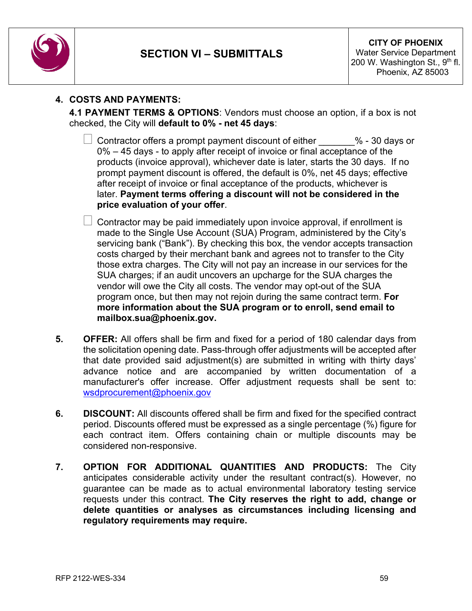

### **4. COSTS AND PAYMENTS:**

**4.1 PAYMENT TERMS & OPTIONS**: Vendors must choose an option, if a box is not checked, the City will **default to 0% - net 45 days**:

- Contractor offers a prompt payment discount of either \_\_\_\_\_\_\_% 30 days or 0% – 45 days - to apply after receipt of invoice or final acceptance of the products (invoice approval), whichever date is later, starts the 30 days. If no prompt payment discount is offered, the default is 0%, net 45 days; effective after receipt of invoice or final acceptance of the products, whichever is later. **Payment terms offering a discount will not be considered in the price evaluation of your offer**.
- $\Box$  Contractor may be paid immediately upon invoice approval, if enrollment is made to the Single Use Account (SUA) Program, administered by the City's servicing bank ("Bank"). By checking this box, the vendor accepts transaction costs charged by their merchant bank and agrees not to transfer to the City those extra charges. The City will not pay an increase in our services for the SUA charges; if an audit uncovers an upcharge for the SUA charges the vendor will owe the City all costs. The vendor may opt-out of the SUA program once, but then may not rejoin during the same contract term. **For more information about the SUA program or to enroll, send email to mailbox.sua@phoenix.gov.**
- **5. OFFER:** All offers shall be firm and fixed for a period of 180 calendar days from the solicitation opening date. Pass-through offer adjustments will be accepted after that date provided said adjustment(s) are submitted in writing with thirty days' advance notice and are accompanied by written documentation of a manufacturer's offer increase. Offer adjustment requests shall be sent to: [wsdprocurement@phoenix.gov](mailto:wsdprocurement@phoenix.gov)
- **6. DISCOUNT:** All discounts offered shall be firm and fixed for the specified contract period. Discounts offered must be expressed as a single percentage (%) figure for each contract item. Offers containing chain or multiple discounts may be considered non-responsive.
- **7. OPTION FOR ADDITIONAL QUANTITIES AND PRODUCTS:** The City anticipates considerable activity under the resultant contract(s). However, no guarantee can be made as to actual environmental laboratory testing service requests under this contract. **The City reserves the right to add, change or delete quantities or analyses as circumstances including licensing and regulatory requirements may require.**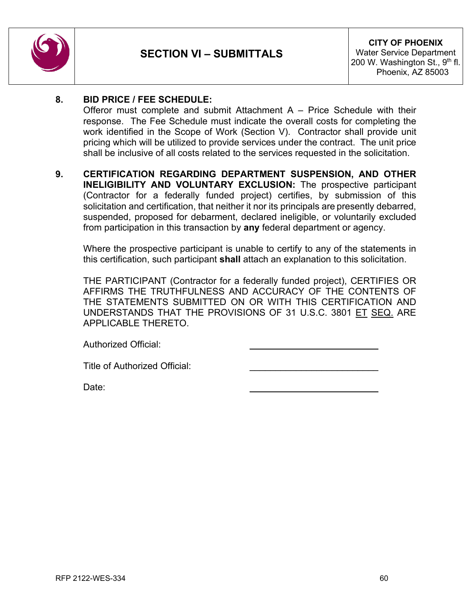

### **8. BID PRICE / FEE SCHEDULE:**

Offeror must complete and submit Attachment  $A -$  Price Schedule with their response. The Fee Schedule must indicate the overall costs for completing the work identified in the Scope of Work (Section V). Contractor shall provide unit pricing which will be utilized to provide services under the contract. The unit price shall be inclusive of all costs related to the services requested in the solicitation.

**9. CERTIFICATION REGARDING DEPARTMENT SUSPENSION, AND OTHER INELIGIBILITY AND VOLUNTARY EXCLUSION:** The prospective participant (Contractor for a federally funded project) certifies, by submission of this solicitation and certification, that neither it nor its principals are presently debarred, suspended, proposed for debarment, declared ineligible, or voluntarily excluded from participation in this transaction by **any** federal department or agency.

Where the prospective participant is unable to certify to any of the statements in this certification, such participant **shall** attach an explanation to this solicitation.

THE PARTICIPANT (Contractor for a federally funded project), CERTIFIES OR AFFIRMS THE TRUTHFULNESS AND ACCURACY OF THE CONTENTS OF THE STATEMENTS SUBMITTED ON OR WITH THIS CERTIFICATION AND UNDERSTANDS THAT THE PROVISIONS OF 31 U.S.C. 3801 ET SEQ. ARE APPLICABLE THERETO.

Authorized Official:

Title of Authorized Official:

Date: \_\_\_\_\_\_\_\_\_\_\_\_\_\_\_\_\_\_\_\_\_\_\_\_\_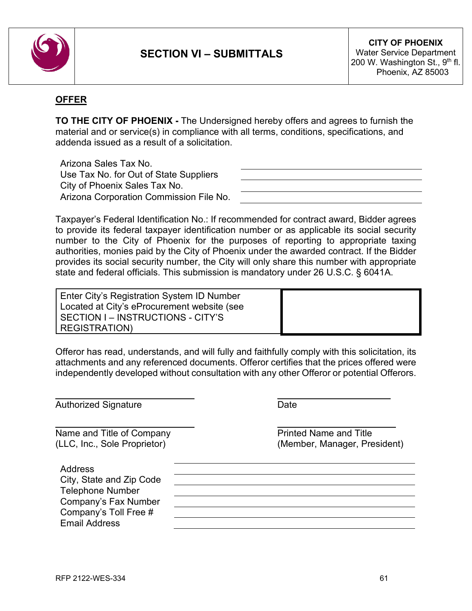

### **OFFER**

**TO THE CITY OF PHOENIX -** The Undersigned hereby offers and agrees to furnish the material and or service(s) in compliance with all terms, conditions, specifications, and addenda issued as a result of a solicitation.

Arizona Sales Tax No. Use Tax No. for Out of State Suppliers City of Phoenix Sales Tax No. Arizona Corporation Commission File No.

Taxpayer's Federal Identification No.: If recommended for contract award, Bidder agrees to provide its federal taxpayer identification number or as applicable its social security number to the City of Phoenix for the purposes of reporting to appropriate taxing authorities, monies paid by the City of Phoenix under the awarded contract. If the Bidder provides its social security number, the City will only share this number with appropriate state and federal officials. This submission is mandatory under 26 U.S.C. § 6041A.

Enter City's Registration System ID Number Located at City's eProcurement website (see SECTION I – INSTRUCTIONS - CITY'S REGISTRATION)

Offeror has read, understands, and will fully and faithfully comply with this solicitation, its attachments and any referenced documents. Offeror certifies that the prices offered were independently developed without consultation with any other Offeror or potential Offerors.

 $\overline{\phantom{a}}$  , and the contract of the contract of the contract of the contract of the contract of the contract of the contract of the contract of the contract of the contract of the contract of the contract of the contrac

Authorized Signature Date  $\overline{\phantom{a}}$  , and the contract of the contract of the contract of the contract of the contract of the contract of the contract of the contract of the contract of the contract of the contract of the contract of the contrac Name and Title of Company Name and Title (LLC, Inc., Sole Proprietor) (Member, Manager, President) Address City, State and Zip Code Telephone Number Company's Fax Number Company's Toll Free # Email Address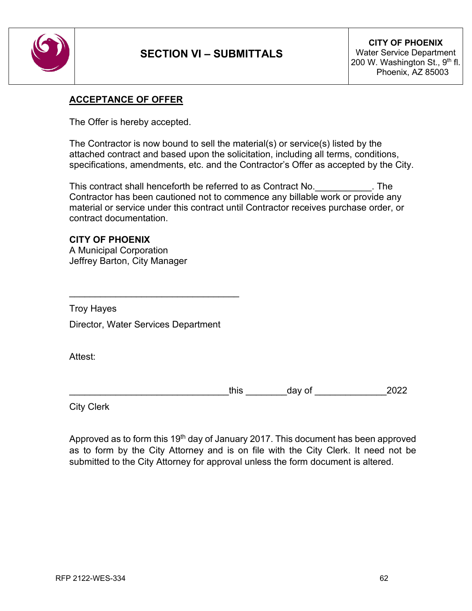

#### **ACCEPTANCE OF OFFER**

The Offer is hereby accepted.

The Contractor is now bound to sell the material(s) or service(s) listed by the attached contract and based upon the solicitation, including all terms, conditions, specifications, amendments, etc. and the Contractor's Offer as accepted by the City.

This contract shall henceforth be referred to as Contract No.\_\_\_\_\_\_\_\_\_\_\_. The Contractor has been cautioned not to commence any billable work or provide any material or service under this contract until Contractor receives purchase order, or contract documentation.

### **CITY OF PHOENIX**

A Municipal Corporation Jeffrey Barton, City Manager

Troy Hayes

Director, Water Services Department

\_\_\_\_\_\_\_\_\_\_\_\_\_\_\_\_\_\_\_\_\_\_\_\_\_\_\_\_\_\_\_\_\_

Attest:

this day of 2022

City Clerk

Approved as to form this 19<sup>th</sup> day of January 2017. This document has been approved as to form by the City Attorney and is on file with the City Clerk. It need not be submitted to the City Attorney for approval unless the form document is altered.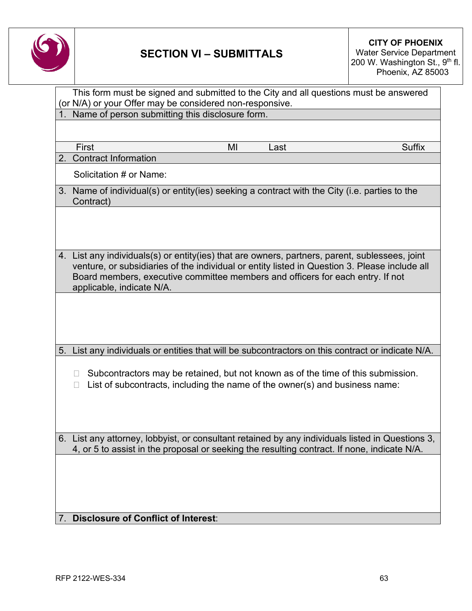

# **SECTION VI – SUBMITTALS**

**CITY OF PHOENIX** Water Service Department 200 W. Washington St., 9<sup>th</sup> fl. Phoenix, AZ 85003

|    | This form must be signed and submitted to the City and all questions must be answered                                                                                                                                                                                                                          |  |  |
|----|----------------------------------------------------------------------------------------------------------------------------------------------------------------------------------------------------------------------------------------------------------------------------------------------------------------|--|--|
|    | (or N/A) or your Offer may be considered non-responsive.                                                                                                                                                                                                                                                       |  |  |
|    | Name of person submitting this disclosure form.                                                                                                                                                                                                                                                                |  |  |
|    |                                                                                                                                                                                                                                                                                                                |  |  |
|    | First<br><b>Suffix</b><br>MI<br>Last                                                                                                                                                                                                                                                                           |  |  |
|    | 2. Contract Information                                                                                                                                                                                                                                                                                        |  |  |
|    | Solicitation # or Name:                                                                                                                                                                                                                                                                                        |  |  |
|    | 3. Name of individual(s) or entity(ies) seeking a contract with the City (i.e. parties to the<br>Contract)                                                                                                                                                                                                     |  |  |
|    |                                                                                                                                                                                                                                                                                                                |  |  |
|    | 4. List any individuals(s) or entity(ies) that are owners, partners, parent, sublessees, joint<br>venture, or subsidiaries of the individual or entity listed in Question 3. Please include all<br>Board members, executive committee members and officers for each entry. If not<br>applicable, indicate N/A. |  |  |
|    |                                                                                                                                                                                                                                                                                                                |  |  |
| 5. | List any individuals or entities that will be subcontractors on this contract or indicate N/A.                                                                                                                                                                                                                 |  |  |
|    | Subcontractors may be retained, but not known as of the time of this submission.<br>Ш<br>List of subcontracts, including the name of the owner(s) and business name:<br>П                                                                                                                                      |  |  |
|    | 6. List any attorney, lobbyist, or consultant retained by any individuals listed in Questions 3,<br>4, or 5 to assist in the proposal or seeking the resulting contract. If none, indicate N/A.                                                                                                                |  |  |
| 7. | <b>Disclosure of Conflict of Interest:</b>                                                                                                                                                                                                                                                                     |  |  |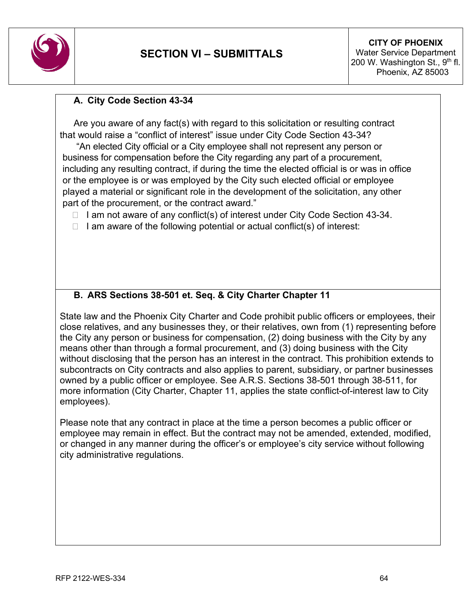

### **A. City Code Section 43-34**

Are you aware of any fact(s) with regard to this solicitation or resulting contract that would raise a "conflict of interest" issue under City Code Section 43-34?

"An elected City official or a City employee shall not represent any person or business for compensation before the City regarding any part of a procurement, including any resulting contract, if during the time the elected official is or was in office or the employee is or was employed by the City such elected official or employee played a material or significant role in the development of the solicitation, any other part of the procurement, or the contract award."

 $\Box$  I am not aware of any conflict(s) of interest under City Code Section 43-34.

 $\Box$  I am aware of the following potential or actual conflict(s) of interest:

## **B. ARS Sections 38-501 et. Seq. & City Charter Chapter 11**

State law and the Phoenix City Charter and Code prohibit public officers or employees, their close relatives, and any businesses they, or their relatives, own from (1) representing before the City any person or business for compensation, (2) doing business with the City by any means other than through a formal procurement, and (3) doing business with the City without disclosing that the person has an interest in the contract. This prohibition extends to subcontracts on City contracts and also applies to parent, subsidiary, or partner businesses owned by a public officer or employee. See A.R.S. Sections 38-501 through 38-511, for more information (City Charter, Chapter 11, applies the state conflict-of-interest law to City employees).

Please note that any contract in place at the time a person becomes a public officer or employee may remain in effect. But the contract may not be amended, extended, modified, or changed in any manner during the officer's or employee's city service without following city administrative regulations.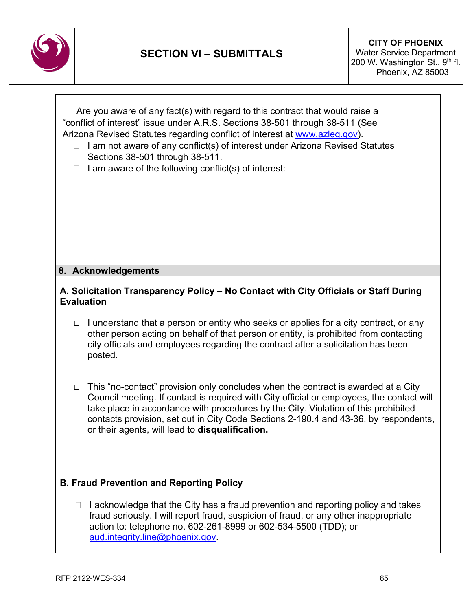

|                                                                                                           |        | Are you aware of any fact(s) with regard to this contract that would raise a<br>"conflict of interest" issue under A.R.S. Sections 38-501 through 38-511 (See<br>Arizona Revised Statutes regarding conflict of interest at www.azleg.gov).<br>I am not aware of any conflict(s) of interest under Arizona Revised Statutes<br>Sections 38-501 through 38-511.<br>I am aware of the following conflict(s) of interest:<br>8. Acknowledgements |  |  |  |  |
|-----------------------------------------------------------------------------------------------------------|--------|-----------------------------------------------------------------------------------------------------------------------------------------------------------------------------------------------------------------------------------------------------------------------------------------------------------------------------------------------------------------------------------------------------------------------------------------------|--|--|--|--|
|                                                                                                           |        |                                                                                                                                                                                                                                                                                                                                                                                                                                               |  |  |  |  |
| A. Solicitation Transparency Policy - No Contact with City Officials or Staff During<br><b>Evaluation</b> |        |                                                                                                                                                                                                                                                                                                                                                                                                                                               |  |  |  |  |
|                                                                                                           |        | $\Box$ I understand that a person or entity who seeks or applies for a city contract, or any<br>other person acting on behalf of that person or entity, is prohibited from contacting<br>city officials and employees regarding the contract after a solicitation has been<br>posted.                                                                                                                                                         |  |  |  |  |
|                                                                                                           |        | $\Box$ This "no-contact" provision only concludes when the contract is awarded at a City<br>Council meeting. If contact is required with City official or employees, the contact will<br>take place in accordance with procedures by the City. Violation of this prohibited<br>contacts provision, set out in City Code Sections 2-190.4 and 43-36, by respondents,<br>or their agents, will lead to disqualification.                        |  |  |  |  |
| <b>B. Fraud Prevention and Reporting Policy</b>                                                           |        |                                                                                                                                                                                                                                                                                                                                                                                                                                               |  |  |  |  |
|                                                                                                           | $\Box$ | I acknowledge that the City has a fraud prevention and reporting policy and takes<br>fraud seriously. I will report fraud, suspicion of fraud, or any other inappropriate<br>action to: telephone no. 602-261-8999 or 602-534-5500 (TDD); or<br>aud.integrity.line@phoenix.gov.                                                                                                                                                               |  |  |  |  |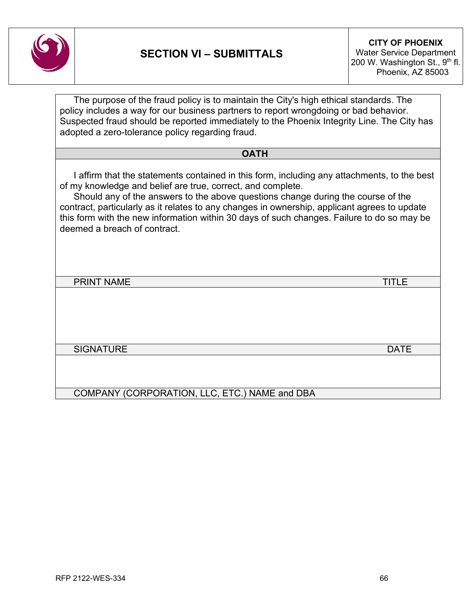

The purpose of the fraud policy is to maintain the City's high ethical standards. The policy includes a way for our business partners to report wrongdoing or bad behavior. Suspected fraud should be reported immediately to the Phoenix Integrity Line. The City has adopted a zero-tolerance policy regarding fraud.

**OATH**

I affirm that the statements contained in this form, including any attachments, to the best of my knowledge and belief are true, correct, and complete.

Should any of the answers to the above questions change during the course of the contract, particularly as it relates to any changes in ownership, applicant agrees to update this form with the new information within 30 days of such changes. Failure to do so may be deemed a breach of contract.

PRINT NAME TITLE

SIGNATURE **DATE DATE** 

COMPANY (CORPORATION, LLC, ETC.) NAME and DBA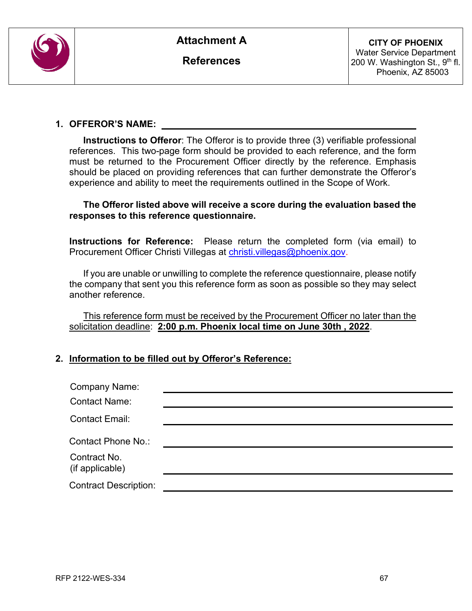

**References**

#### **1. OFFEROR'S NAME:**

**Instructions to Offeror**: The Offeror is to provide three (3) verifiable professional references. This two-page form should be provided to each reference, and the form must be returned to the Procurement Officer directly by the reference. Emphasis should be placed on providing references that can further demonstrate the Offeror's experience and ability to meet the requirements outlined in the Scope of Work.

#### **The Offeror listed above will receive a score during the evaluation based the responses to this reference questionnaire.**

 **Instructions for Reference:** Please return the completed form (via email) to Procurement Officer Christi Villegas at christi.villegas@phoenix.gov.

If you are unable or unwilling to complete the reference questionnaire, please notify the company that sent you this reference form as soon as possible so they may select another reference.

This reference form must be received by the Procurement Officer no later than the solicitation deadline: **2:00 p.m. Phoenix local time on June 30th , 2022**.

### **2. Information to be filled out by Offeror's Reference:**

| <b>Company Name:</b>            |  |
|---------------------------------|--|
| <b>Contact Name:</b>            |  |
| <b>Contact Email:</b>           |  |
| Contact Phone No.:              |  |
| Contract No.<br>(if applicable) |  |
| <b>Contract Description:</b>    |  |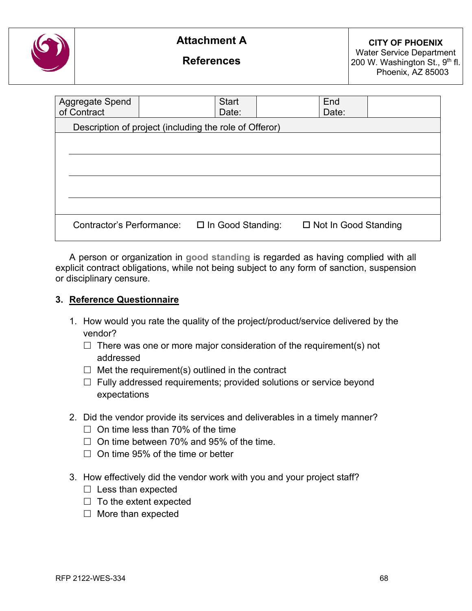

**References**

| Aggregate Spend<br>of Contract                         |  | <b>Start</b><br>Date:    | End<br>Date:                |  |  |  |  |
|--------------------------------------------------------|--|--------------------------|-----------------------------|--|--|--|--|
| Description of project (including the role of Offeror) |  |                          |                             |  |  |  |  |
|                                                        |  |                          |                             |  |  |  |  |
|                                                        |  |                          |                             |  |  |  |  |
|                                                        |  |                          |                             |  |  |  |  |
|                                                        |  |                          |                             |  |  |  |  |
|                                                        |  |                          |                             |  |  |  |  |
|                                                        |  |                          |                             |  |  |  |  |
| Contractor's Performance:                              |  | $\Box$ In Good Standing: | $\Box$ Not In Good Standing |  |  |  |  |

A person or organization in **good standing** is regarded as having complied with all explicit contract obligations, while not being subject to any form of sanction, suspension or disciplinary censure.

#### **3. Reference Questionnaire**

- 1. How would you rate the quality of the project/product/service delivered by the vendor?
	- $\Box$  There was one or more major consideration of the requirement(s) not addressed
	- $\Box$  Met the requirement(s) outlined in the contract
	- $\Box$  Fully addressed requirements; provided solutions or service beyond expectations
- 2. Did the vendor provide its services and deliverables in a timely manner?
	- $\Box$  On time less than 70% of the time
	- $\Box$  On time between 70% and 95% of the time.
	- $\Box$  On time 95% of the time or better
- 3. How effectively did the vendor work with you and your project staff?
	- $\Box$  Less than expected
	- $\Box$  To the extent expected
	- $\Box$  More than expected